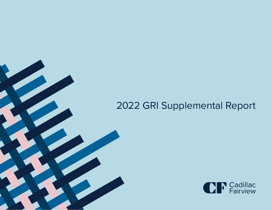# 2022 GRI Supplemental Report

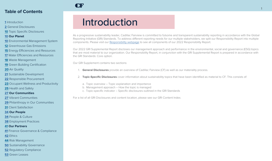#### <span id="page-1-0"></span>Introduction

General Disclosures

Topic Specific Disclosures

#### **Our Planet**

- Environmental Management System
- Greenhouse Gas Emissions
- Energy Efficiencies and Resources
- Water Efficiencies and Resources
- Waste Management
- Green Building Certification
- Air Quality
- Sustainable Development
- Responsible Procurement
- Occupant Wellness and Productivity
- Health and Safety
- **Our Communities**
- Vibrant Communities
- Philanthropy in Our Communities
- Client Satisfaction
- **Our People**
- People & Culture
- Employment Practices

#### **Our Partners**

- Finance Governance & Compliance
- Ethics
- Risk Management
- Sustainability Governance
- Regulatory Compliance
- Green Leases

# Introduction

As a progressive sustainability leader, Cadillac Fairview is committed to fulsome and transparent sustainability reporting in accordance with the Global Reporting Initiative (GRI) Standards. To address different reporting needs for our multiple stakeholders, we split our Responsibility Report into multiple components. Please visit our [Responsibility webpage](https://www.cadillacfairview.com/responsibility/) to see all components of our 2022 Responsibility Report.

Our 2022 GRI Supplemental Report discloses our management approach and performance in the environmental, social and governance (ESG) topics that are most material to our organization. Our Responsibility Report, in conjunction with the GRI Supplemental Report is prepared in accordance with the GRI Standards: Core option.

Our GRI Supplement contains two sections:

CF

- 1. **General Disclosures** provide an overview of Cadillac Fairview (CF) as well as our materiality process.
- 2. **Topic-Specific Disclosures** cover information about sustainability topics that have been identified as material to CF. This consists of:
	- a. Topic overview Topic explanation and importance
	- b. Management approach How the topic is managed
	- c. Topic-specific indicator Specific disclosures outlined in the GRI Standards

For a list of all GRI Disclosures and content location, please see our GRI Content Index.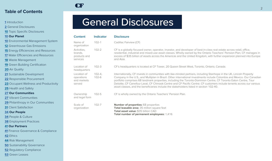#### <span id="page-2-0"></span>**[1](#page-1-0)** Introduction

**2** General Disclosures

**[10](#page-10-0)** Topic Specific Disclosures

#### **[10](#page-10-0) Our Planet**

| 10 Environmental Management System |  |  |
|------------------------------------|--|--|
|------------------------------------|--|--|

- **[12](#page-12-0)** Greenhouse Gas Emissions
- **[15](#page-15-0)** Energy Efficiencies and Resources
- **[17](#page-17-0)** Water Efficiencies and Resources
- **[18](#page-18-0)** Waste Management
- **[19](#page-19-0)** Green Building Certification
- **[20](#page-20-0)** Air Quality
- **[21](#page-21-0)** Sustainable Development
- **[22](#page-22-0)** Responsible Procurement
- **[23](#page-23-0)** Occupant Wellness and Productivity
- **[25](#page-25-0)** Health and Safety

#### **[27](#page-27-0) Our Communities**

- **[27](#page-27-0)** Vibrant Communities
- **[29](#page-29-0)** Philanthropy in Our Communities
- **[31](#page-31-0)** Client Satisfaction

#### **[34](#page-34-0) Our People**

- **[34](#page-34-0)** People & Culture
- **[38](#page-38-0)** Employment Practices

#### **[41](#page-41-0) Our Partners**

- **[41](#page-41-0)** Finance Governance & Compliance
- **[42](#page-42-0)** Ethics
- **[44](#page-44-0)** Risk Management
- **[50](#page-50-0)** Sustainability Governance
- **[52](#page-52-0)** Regulatory Compliance
- **[53](#page-53-0)** Green Leases

# General Disclosures

CF

| <b>Indicator</b>    | <b>Disclosure</b>                                                                                                                                                                                                                                                                                                                                                                                                                                                                                                                                                                        |
|---------------------|------------------------------------------------------------------------------------------------------------------------------------------------------------------------------------------------------------------------------------------------------------------------------------------------------------------------------------------------------------------------------------------------------------------------------------------------------------------------------------------------------------------------------------------------------------------------------------------|
| $102 - 1$           | Cadillac Fairview (CF)                                                                                                                                                                                                                                                                                                                                                                                                                                                                                                                                                                   |
| $102 - 2$           | CF is a globally focused owner, operator, investor, and developer of best-in-class real estate across retail, office,<br>residential, industrial and mixed-use asset classes. Wholly owned by the Ontario Teachers' Pension Plan, CF manages in<br>excess of \$35 billion of assets across the Americas and the United Kingdom, with further expansion planned into Europe<br>and Asia.                                                                                                                                                                                                  |
| $102 - 3$           | CF's headquarters is located at CF Tower, 20 Queen Street West, Toronto, Ontario, Canada.                                                                                                                                                                                                                                                                                                                                                                                                                                                                                                |
| $102 - 4,$<br>102-6 | Internationally, CF invests in communities with like-minded partners, including Stanhope in the UK, Lincoln Property<br>Company in the U.S., and Multiplan in Brazil. Other international investments include Colombia and Mexico. Our Canadian<br>portfolio comprises 68 landmark properties, including the Toronto-Dominion Centre, CF Toronto Eaton Centre, Tour<br>Deloitte, CF Carrefour Laval, CF Chinook Centre and CF Pacific Centre. CF customers include tenants across our various<br>asset classes, and the beneficiaries include the stakeholders listed in section 102-40. |
| $102 - 5$           | CF is wholly owned by the Ontario Teachers' Pension Plan.                                                                                                                                                                                                                                                                                                                                                                                                                                                                                                                                |
| $102 - 7$           | <b>Number of properties: 68 properties</b><br>Total leasable area: 35 million square feet<br>Total asset value: \$35 billion CAD<br>Total number of permanent employees: 1,416                                                                                                                                                                                                                                                                                                                                                                                                           |
|                     |                                                                                                                                                                                                                                                                                                                                                                                                                                                                                                                                                                                          |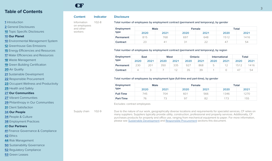#### **[1](#page-1-0)** Introduction

**[2](#page-2-0)** General Disclosures

**[10](#page-10-0)** Topic Specific Disclosures

#### **[10](#page-10-0) Our Planet**

**[10](#page-10-0)** Environmental Management System

**[12](#page-12-0)** Greenhouse Gas Emissions

**[15](#page-15-0)** Energy Efficiencies and Resources

**[17](#page-17-0)** Water Efficiencies and Resources

**[18](#page-18-0)** Waste Management

**[19](#page-19-0)** Green Building Certification

**[20](#page-20-0)** Air Quality

**[21](#page-21-0)** Sustainable Development

**[22](#page-22-0)** Responsible Procurement

**[23](#page-23-0)** Occupant Wellness and Productivity

**[25](#page-25-0)** Health and Safety

#### **[27](#page-27-0) Our Communities**

**[27](#page-27-0)** Vibrant Communities

**[29](#page-29-0)** Philanthropy in Our Communities

**[31](#page-31-0)** Client Satisfaction

#### **[34](#page-34-0) Our People**

**[34](#page-34-0)** People & Culture

**[38](#page-38-0)** Employment Practices

#### **[41](#page-41-0) Our Partners**

**[41](#page-41-0)** Finance Governance & Compliance

**[42](#page-42-0)** Ethics

**[44](#page-44-0)** Risk Management

**[50](#page-50-0)** Sustainability Governance

**[52](#page-52-0)** Regulatory Compliance

**[53](#page-53-0)** Green Leases

#### Information on employees and other workers

CF

#### **Content Indicator Disclosure**

102-8 Total number of employees by employment contract (permanent and temporary), by gender

| Employment<br>type |      | <b>Male</b> |      | Female       | Total |      |
|--------------------|------|-------------|------|--------------|-------|------|
|                    | 2020 | 2021        | 2020 | 2021         | 2020  | 2021 |
| Permanent          | 815  | 768         | 697  | 648          | 1512  | 416  |
| Contract           | 23   | 4           |      | $\cap$<br>22 | $4^-$ | 54   |

#### Total number of employees by employment contract (permanent and temporary), by region

| Employment | East |      | West |      | Ontario |      | <b>International</b> |      | Total |      |
|------------|------|------|------|------|---------|------|----------------------|------|-------|------|
| type       | 2020 | 2021 | 2020 | 2021 | 2020    | 2021 | 2020                 | 2021 | 2020  | 2021 |
| Permanent  | 230  |      | 350  | 335  | 927     | 868  | b                    |      | 151つ  | 416  |
| Contract   |      |      |      |      | 35      | 39   |                      |      | $4^-$ | 54   |

#### Total number of employees by employment type (full-time and part-time), by gender

| Employment<br>type |      | <b>Male</b>              |      | <b>Female</b> | Total |      |
|--------------------|------|--------------------------|------|---------------|-------|------|
|                    | 2020 | 2021                     | 2020 | 2021          | 2020  | 2021 |
| <b>Full-Time</b>   | 745  | 704                      | 601  | 566           | 1346  | 270  |
| <b>Part-Time</b>   | 76   | $\overline{\phantom{a}}$ | 97   | 82            |       | 55   |

Excludes: contract employees

Supply chain 102-9 Due to the nature of our work, geographically diverse locations and requirements for specialist services, CF relies on many suppliers. Suppliers typically provide utility, construction, professional and property services. Additionally, CF purchases products for property and office use, ranging from mechanical equipment to paper. For more information, please see [Sustainable Development](#page-21-0) and Responsibl[e Procurement](#page-22-0) sections this document.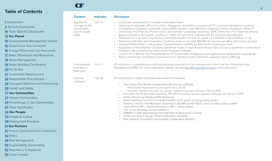CF

|                                             | <b>Content</b>                 | <b>Indicator</b> | <b>Disclosure</b>                                                                                                                                                                                                          |
|---------------------------------------------|--------------------------------|------------------|----------------------------------------------------------------------------------------------------------------------------------------------------------------------------------------------------------------------------|
| 1 Introduction                              | Significant                    | $102 - 10$       | • Corporate restructuring to an asset class-based view                                                                                                                                                                     |
| <b>2</b> General Disclosures                | changes to the                 |                  | Opening of corporate offices in London, Singapore, and Dallas in support of CF's growing international portfolio                                                                                                           |
| <b>10</b> Topic Specific Disclosures        | organization<br>and its supply |                  | Completed a corporate ownership swap of 50% interest in two Montreal shopping centres resulting in 100% CF<br>ownership of CF Fairview Pointe Claire, and Ivanhoé Cambridge assuming 100% ownership of CF Galeries d'Anjou |
| <b>10 Our Planet</b>                        | chain                          |                  | Buyout of partner (Armadale), resulting in 100% CF ownership of Buttonville for industrial development<br>Partnered on a JV with Long Harbour and Public Sector Pension to create a £1.5B Built to Rent platform in UK     |
| <b>10</b> Environmental Management System   |                                |                  | Partnered with KDC and Compatriot Capital to close on an initial \$800M US commercial office and mixed-use fund                                                                                                            |
| <b>12</b> Greenhouse Gas Emissions          |                                |                  | Invested \$400 million in Hines Asia Property Partners (HAPP), an Asia Pacific multi-sector fund<br>Acquisition of The Pullman (13-Story Apartment Tower in Denver) and Alexan Early (12-story apartment community in      |
| <b>15</b> Energy Efficiencies and Resources |                                |                  | Arlington, VA) in partnership with Lincoln Property Company                                                                                                                                                                |
| <b>17</b> Water Efficiencies and Resources  |                                |                  | Launch of CF Marché des Promenades at CF Promenades ST-Bruno (a new gastronomic destination in the South<br>Shore community), and District Gourmand at CF Fairview Pointe Claire (an expanded dining offering)             |
| <b>18</b> Waste Management                  |                                |                  |                                                                                                                                                                                                                            |
| <b>19 Green Building Certification</b>      | Precautionary                  | $102 - 11$       | CF maintains a comprehensive and precautionary approach to risk management, which we term Enterprise Risk                                                                                                                  |
| 20 Air Quality                              | Principle or<br>Approach       |                  | Management (ERM). For more information, please see the Risk Management section in this document.                                                                                                                           |
| 21 Sustainable Development                  |                                |                  |                                                                                                                                                                                                                            |
| 22 Responsible Procurement                  | External<br>initiatives        | 102-12           | CF subscribes to and/or endorses many external initiatives:                                                                                                                                                                |
| 23 Occupant Wellness and Productivity       |                                |                  | The Global Real Estate Sustainability Benchmark (GRESB)                                                                                                                                                                    |
| 25 Health and Safety                        |                                |                  | • Real Estate Assessment participant since 2016<br>· Investor member through our owner, Ontario Teachers' Pension Plan (OTPP)                                                                                              |
| <b>27 Our Communities</b>                   |                                |                  | Principles for Responsible Investing, PRI (PRI investment owner signatory through our owner OTPP)                                                                                                                          |
| 27 Vibrant Communities                      |                                |                  | Global Reporting Initiative (GRI) Standards<br>Green Building Council of Canada (CaGBC) LEED green building rating system                                                                                                  |
| 29 Philanthropy in Our Communities          |                                |                  | Building Owners and Managers Association (BOMA) BOMA BEST green building rating system                                                                                                                                     |
| <b>31</b> Client Satisfaction               |                                |                  | International WELL Building Institute's WELL rating system<br>• U.S. Green Building Council (USBGC)                                                                                                                        |
| <b>34 Our People</b>                        |                                |                  | ENERGY STAR administered through Natural Resources Canada                                                                                                                                                                  |
| 34 People & Culture                         |                                |                  | Centre for Active Design Fitwel certification standard<br>Rick Hansen Foundation Accessibility Certification (RHFAC)                                                                                                       |
| <b>38 Employment Practices</b>              |                                |                  |                                                                                                                                                                                                                            |
| <b>41 Our Partners</b>                      |                                |                  |                                                                                                                                                                                                                            |
| $\blacksquare$                              |                                |                  |                                                                                                                                                                                                                            |

**[41](#page-41-0)** Finance Governance & Compliance

**[42](#page-42-0)** Ethics

**[44](#page-44-0)** Risk Management

**[50](#page-50-0)** Sustainability Governance

**[52](#page-52-0)** Regulatory Compliance

**[53](#page-53-0)** Green Leases

4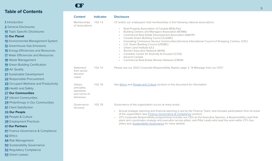CF

|                                                                                                                                                                                                                                                                                                                              | <b>Content</b>                                                   | Indicator  | <b>Disclosure</b>                                                                                                                                                                                                                                                                                                                                                                                                                                                                                                                                                                                                              |
|------------------------------------------------------------------------------------------------------------------------------------------------------------------------------------------------------------------------------------------------------------------------------------------------------------------------------|------------------------------------------------------------------|------------|--------------------------------------------------------------------------------------------------------------------------------------------------------------------------------------------------------------------------------------------------------------------------------------------------------------------------------------------------------------------------------------------------------------------------------------------------------------------------------------------------------------------------------------------------------------------------------------------------------------------------------|
| <b>1</b> Introduction<br>2 General Disclosures<br><b>10</b> Topic Specific Disclosures<br><b>10 Our Planet</b><br><b>10</b> Environmental Management System<br><b>12</b> Greenhouse Gas Emissions<br><b>15</b> Energy Efficiencies and Resources<br><b>17</b> Water Efficiencies and Resources<br><b>18</b> Waste Management | Memberships<br>of associations                                   | $102 - 13$ | CF and/or our employees hold memberships in the following national associations:<br>Real Property Association of Canada (REALPac)<br>Building Owners and Managers Association (BOMA)<br><b>Commercial Real Estate Development Association (NAIOP)</b><br>Canada Green Building Council (CaGBC)<br>Innovating Commerce Service Communities (formerly International Council of Shopping Centres, ICSC)<br>U.S. Green Building Council (USGBC)<br>Urban Land Institute (ULI)<br>Women Executive Network (WXN)<br>Canadian Centre for Diversity & Inclusion (CCDI)<br>Ascend Canada<br>Commercial Real Estate Women Network (CREW) |
| <b>19</b> Green Building Certification<br><b>20 Air Quality</b><br>21 Sustainable Development<br>22 Responsible Procurement                                                                                                                                                                                                  | Statement<br>from senior<br>decision<br>maker                    | $102 - 14$ | Please see our 2022 Corporate Responsibility Report, page 3, "A Message from our CEO".                                                                                                                                                                                                                                                                                                                                                                                                                                                                                                                                         |
| 23 Occupant Wellness and Productivity<br><b>25 Health and Safety</b><br><b>27 Our Communities</b><br>27 Vibrant Communities                                                                                                                                                                                                  | Values,<br>principles,<br>standards<br>and norms of<br>behaviour | 102-16     | See Ethics and People and Culture sections in this document for information.                                                                                                                                                                                                                                                                                                                                                                                                                                                                                                                                                   |
| 29 Philanthropy in Our Communities<br><b>31</b> Client Satisfaction<br><b>34 Our People</b><br><b>34</b> People & Culture<br><b>38</b> Employment Practices<br><b>41 Our Partners</b><br>41 Finance Governance & Compliance<br>42 Ethics<br>44 Risk Management                                                               | Governance<br>structure                                          | 102-18     | Governance of the organization occurs at many levels.<br>Annual strategic planning and financial planning is led by the Finance Team, and includes participation from all areas<br>of the organization (see Finance Governance & Compliance section).<br>CF's Corporate Responsibility programming includes our CEO as the Executive Sponsor, a Responsibility Lead that<br>plans and coordinates strategy and execution across pillars, and Pillar Leads who lead the work within CF's four<br>pillars (see Sustainability Governance for more details).                                                                      |

**[50](#page-50-0)** Sustainability Governance

**[52](#page-52-0)** Regulatory Compliance

**[53](#page-53-0)** Green Leases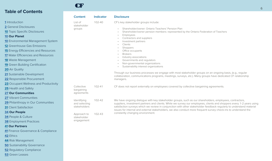|  | <b>1</b> Introduction |
|--|-----------------------|
|  |                       |

- **[2](#page-2-0)** General Disclosures
- **[10](#page-10-0)** Topic Specific Disclosures
- **[10](#page-10-0) Our Planet**
- **[10](#page-10-0)** Environmental Management System
- **[12](#page-12-0)** Greenhouse Gas Emissions
- **[15](#page-15-0)** Energy Efficiencies and Resources
- **[17](#page-17-0)** Water Efficiencies and Resources
- **[18](#page-18-0)** Waste Management
- **[19](#page-19-0)** Green Building Certification
- **[20](#page-20-0)** Air Quality
- **[21](#page-21-0)** Sustainable Development
- **[22](#page-22-0)** Responsible Procurement
- **[23](#page-23-0)** Occupant Wellness and Productivity
- **[25](#page-25-0)** Health and Safety
- **[27](#page-27-0) Our Communities**
- **[27](#page-27-0)** Vibrant Communities
- **[29](#page-29-0)** Philanthropy in Our Communities
- **[31](#page-31-0)** Client Satisfaction
- **[34](#page-34-0) Our People**
- **[34](#page-34-0)** People & Culture
- **[38](#page-38-0)** Employment Practices

#### **[41](#page-41-0) Our Partners**

- **[41](#page-41-0)** Finance Governance & Compliance
- **[42](#page-42-0)** Ethics
- **[44](#page-44-0)** Risk Management
- **[50](#page-50-0)** Sustainability Governance
- **[52](#page-52-0)** Regulatory Compliance
- **[53](#page-53-0)** Green Leases

| ۳. |  |  |
|----|--|--|
|    |  |  |

| <b>Content</b>                               | <b>Indicator</b> | <b>Disclosure</b>                                                                                                                                                                                                                                                                                                                                                                                                                                                                                                                                                                                                                                                                                                                                                                                   |
|----------------------------------------------|------------------|-----------------------------------------------------------------------------------------------------------------------------------------------------------------------------------------------------------------------------------------------------------------------------------------------------------------------------------------------------------------------------------------------------------------------------------------------------------------------------------------------------------------------------------------------------------------------------------------------------------------------------------------------------------------------------------------------------------------------------------------------------------------------------------------------------|
| List of<br>stakeholder<br>groups             | 102-40           | CF's key stakeholder groups include:<br>Shareholder/owner: Ontario Teachers' Pension Plan<br>$\bullet$<br>Shareholder/owner pension members: represented by the Ontario Federation of Teachers<br>$\bullet$<br>Employees<br>$\bullet$<br>Contractors and suppliers<br>Investment partners<br>Clients<br>Shoppers<br>Office occupants<br>$\bullet$<br><b>Brokers</b><br>$\bullet$<br>Industry associations<br>$\bullet$<br>Governments and regulators<br>Non-governmental organizations<br>$\bullet$<br>Sustainability interest organizations<br>$\bullet$<br>Through our business processes we engage with most stakeholder groups on an ongoing basis, (e.g., regular<br>collaboration, communications programs, meetings, surveys, etc.). Many groups have dedicated CF relationship<br>managers. |
| Collective<br>bargaining<br>agreements       | $102 - 41$       | CF does not report externally on employees covered by collective bargaining agreements.                                                                                                                                                                                                                                                                                                                                                                                                                                                                                                                                                                                                                                                                                                             |
| Identifying<br>and selecting<br>stakeholders | 102-42           | We have ongoing dialogue with key stakeholder groups, such as our shareholders, employees, contractors,<br>suppliers, investment partners and clients. While we survey our employees, clients and shoppers every 1-2 years using<br>satisfaction surveys which we review in conjunction with other stakeholder feedback regularly to understand material<br>issues for internal and external stakeholders, we also conduct more frequent survey check-ins to understand the                                                                                                                                                                                                                                                                                                                         |
| Approach to<br>stakeholder<br>engagement     | 102-43           | constantly changing environment.                                                                                                                                                                                                                                                                                                                                                                                                                                                                                                                                                                                                                                                                                                                                                                    |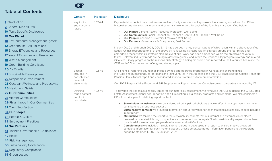CF

|                                                              | <b>Content</b>                       | <b>Indicator</b> | <b>Disclosure</b>                                                                                                                                                                                                                                 |
|--------------------------------------------------------------|--------------------------------------|------------------|---------------------------------------------------------------------------------------------------------------------------------------------------------------------------------------------------------------------------------------------------|
| <b>1</b> Introduction<br><b>2</b> General Disclosures        | Key topics<br>and concerns<br>raised | 102-44           | Key material aspects to our business as well as priority areas for our key stakeholders are organized into four Pillars.<br>Material issues identified by internal and external stakeholders for each of the four Pillars are identified below:   |
| <b>10</b> Topic Specific Disclosures<br><b>10 Our Planet</b> |                                      |                  | <b>Our Planet:</b> Climate Action; Resource Protection; Well-being<br><b>Our Communities:</b> Social Connection; Economic Contribution; Health & Well-being<br>Our People: Inclusion & Diversity; Employee Well-being                             |
| <b>10</b> Environmental Management System                    |                                      |                  | Our Partners: Governance & Compliance; Best Partner                                                                                                                                                                                               |
| <b>12</b> Greenhouse Gas Emissions                           |                                      |                  | In early 2020 and through 2021, COVID-19 has also been a key concern, parts of which align with the above identified                                                                                                                              |
| <b>15</b> Energy Efficiencies and Resources                  |                                      |                  | issues. CF has responded to all of the above by re-focusing its responsibility strategy around the four pillars and                                                                                                                               |
| <b>17</b> Water Efficiencies and Resources                   |                                      |                  | embedding these within its strategic plan. Relevant pillar work has been embedded within the objectives of various<br>teams. Relevant industry trends are being reviewed regularly, and inform the responsibility program strategy and related    |
| <b>18</b> Waste Management                                   |                                      |                  | initiatives. Finally progress on the responsibility strategy is being monitored and reported to the Executive Team and the                                                                                                                        |
| <b>19</b> Green Building Certification                       |                                      |                  | CF Board of Directors as part of ongoing strategic plan.                                                                                                                                                                                          |
| <b>20 Air Quality</b>                                        | <b>Entities</b>                      | 102-45           | CF's financial reporting boundaries include owned and operated properties in Canada and shareholdings                                                                                                                                             |
| 21 Sustainable Development                                   | included in                          |                  | in private and public funds, corporations and joint ventures in the Americas and the UK. Please see the Ontario Teachers'                                                                                                                         |
| 22 Responsible Procurement                                   | consolidated<br>financial            |                  | Pension Plan's Annual report and consolidated financial statements for more information.                                                                                                                                                          |
| 23 Occupant Wellness and Productivity                        | statements                           |                  | Our 2022 Responsibility Report and GRI Supplemental Report cover our Canadian-owned properties managed by CF.                                                                                                                                     |
| 25 Health and Safety                                         |                                      |                  |                                                                                                                                                                                                                                                   |
| <b>27 Our Communities</b>                                    | Defining<br>report content           | 102-46           | To develop the list of sustainability topics for our materiality assessment, we reviewed the GRI guidance, the GRESB Real<br>Estate Assessment, global peer reporting and CF's existing sustainability programs and reporting. We also considered |
| 27 Vibrant Communities                                       | and topic                            |                  | GRI's four principles for defining report content:                                                                                                                                                                                                |
| 29 Philanthropy in Our Communities                           | boundaries                           |                  | <b>Stakeholder inclusiveness:</b> we considered all principal stakeholders that we affect in our operations and who                                                                                                                               |
| <b>31</b> Client Satisfaction                                |                                      |                  | contribute to our business success                                                                                                                                                                                                                |
| <b>34 Our People</b>                                         |                                      |                  | Sustainability context: we provided information about relevance for each material sustainability aspect included<br>in our report                                                                                                                 |
| <b>34 People &amp; Culture</b>                               |                                      |                  | Materiality: we tailored the report to the sustainability aspects that our internal and external stakeholders                                                                                                                                     |
| <b>38 Employment Practices</b>                               |                                      |                  | deemed most material through a quantitative assessment and analysis. Similar sustainability aspects have been<br>combined (for example employee development and satisfaction)                                                                     |
| <b>41 Our Partners</b>                                       |                                      |                  | <b>Completeness:</b> we included multiple internal parties in developing the report to ensure that we provided                                                                                                                                    |
| 41 Finance Governance & Compliance                           |                                      |                  | complete information for each material aspect. Unless otherwise noted, information pertains to the reporting<br>period September 1, 2020-August 31, 2021                                                                                          |
| 42 Ethics                                                    |                                      |                  |                                                                                                                                                                                                                                                   |
| 44 Risk Management                                           |                                      |                  |                                                                                                                                                                                                                                                   |
| <b>50</b> Sustainability Governance                          |                                      |                  |                                                                                                                                                                                                                                                   |
| <b>52</b> Regulatory Compliance                              |                                      |                  |                                                                                                                                                                                                                                                   |
| <b>53</b> Green Leases                                       |                                      |                  |                                                                                                                                                                                                                                                   |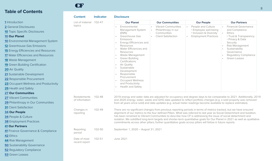CF

**[53](#page-53-0)** Green Leases

|                                             | <b>Content</b>                 | <b>Indicator</b> | <b>Disclosure</b>                                                                                                                                                                                                                                                                                                                                                                                                                                                                                                                                                                                          |                                    |                                                  |                                                           |  |  |
|---------------------------------------------|--------------------------------|------------------|------------------------------------------------------------------------------------------------------------------------------------------------------------------------------------------------------------------------------------------------------------------------------------------------------------------------------------------------------------------------------------------------------------------------------------------------------------------------------------------------------------------------------------------------------------------------------------------------------------|------------------------------------|--------------------------------------------------|-----------------------------------------------------------|--|--|
| <b>1</b> Introduction                       | List of material               | 102-47           | <b>Our Planet</b>                                                                                                                                                                                                                                                                                                                                                                                                                                                                                                                                                                                          | <b>Our Communities</b>             | <b>Our People</b>                                | <b>Our Partners</b>                                       |  |  |
| <b>2</b> General Disclosures                | topics                         |                  | Environmental                                                                                                                                                                                                                                                                                                                                                                                                                                                                                                                                                                                              | • Vibrant Communities              | People and Culture                               | <b>Financial Governance</b>                               |  |  |
| <b>10</b> Topic Specific Disclosures        |                                |                  | Management System<br>(EMS)                                                                                                                                                                                                                                                                                                                                                                                                                                                                                                                                                                                 | Philanthropy in our<br>Communities | · Employee well-being<br>· Inclusion & Diversity | and Compliance<br><b>Ethics</b><br>• Trust & Transparency |  |  |
| <b>10 Our Planet</b>                        |                                |                  | Greenhouse Gas                                                                                                                                                                                                                                                                                                                                                                                                                                                                                                                                                                                             | • Client Satisfaction              | <b>Employment Practices</b>                      |                                                           |  |  |
| <b>10</b> Environmental Management System   |                                |                  | <b>Emissions</b><br>Energy Efficiencies and                                                                                                                                                                                                                                                                                                                                                                                                                                                                                                                                                                |                                    |                                                  | • Privacy & Data<br>Security                              |  |  |
| <b>12</b> Greenhouse Gas Emissions          |                                |                  | Resources                                                                                                                                                                                                                                                                                                                                                                                                                                                                                                                                                                                                  |                                    |                                                  | Risk Management                                           |  |  |
| <b>15</b> Energy Efficiencies and Resources |                                |                  | Water Efficiencies and<br>Resources                                                                                                                                                                                                                                                                                                                                                                                                                                                                                                                                                                        |                                    |                                                  | Sustainability<br>Governance                              |  |  |
| <b>17</b> Water Efficiencies and Resources  |                                |                  | Waste Management                                                                                                                                                                                                                                                                                                                                                                                                                                                                                                                                                                                           |                                    |                                                  | <b>Regulatory Compliance</b>                              |  |  |
| <b>18</b> Waste Management                  |                                |                  | Green Building<br>Certifications                                                                                                                                                                                                                                                                                                                                                                                                                                                                                                                                                                           |                                    |                                                  | Green Leases                                              |  |  |
| <b>19</b> Green Building Certification      |                                |                  | <b>Air Quality</b><br>Sustainable<br>Development                                                                                                                                                                                                                                                                                                                                                                                                                                                                                                                                                           |                                    |                                                  |                                                           |  |  |
| <b>20 Air Quality</b>                       |                                |                  |                                                                                                                                                                                                                                                                                                                                                                                                                                                                                                                                                                                                            |                                    |                                                  |                                                           |  |  |
| 21 Sustainable Development                  |                                |                  | Responsible                                                                                                                                                                                                                                                                                                                                                                                                                                                                                                                                                                                                |                                    |                                                  |                                                           |  |  |
| 22 Responsible Procurement                  |                                |                  | Procurement<br><b>Occupant Wellness</b>                                                                                                                                                                                                                                                                                                                                                                                                                                                                                                                                                                    |                                    |                                                  |                                                           |  |  |
| 23 Occupant Wellness and Productivity       |                                |                  | and Productivity                                                                                                                                                                                                                                                                                                                                                                                                                                                                                                                                                                                           |                                    |                                                  |                                                           |  |  |
| 25 Health and Safety                        |                                |                  | Health and Safety                                                                                                                                                                                                                                                                                                                                                                                                                                                                                                                                                                                          |                                    |                                                  |                                                           |  |  |
| <b>27 Our Communities</b>                   |                                |                  |                                                                                                                                                                                                                                                                                                                                                                                                                                                                                                                                                                                                            |                                    |                                                  |                                                           |  |  |
| 27 Vibrant Communities                      | Restatements<br>of information | 102-48           | 2019 energy and water data are adjusted for occupancy and degree days to be comparable to 2021. Additionally, 2019                                                                                                                                                                                                                                                                                                                                                                                                                                                                                         |                                    |                                                  |                                                           |  |  |
| 29 Philanthropy in Our Communities          |                                |                  | and 2020 energy, water, waste and GHG data updated to reflect portfolio changes (e.g. a sold property was removed<br>from all years since sold) and data updates (e.g. actual meter readings become available to replace estimates).                                                                                                                                                                                                                                                                                                                                                                       |                                    |                                                  |                                                           |  |  |
| <b>31</b> Client Satisfaction               |                                |                  |                                                                                                                                                                                                                                                                                                                                                                                                                                                                                                                                                                                                            |                                    |                                                  |                                                           |  |  |
| <b>34 Our People</b>                        | Changes in<br>reporting        | 102-49           | There are no significant changes from previous reporting periods in terms of metrics tracked, but we have ensured<br>alignment of our metrics to the four defined Pillars. What was referred to last year as Social Detachment and Isolation,<br>has been renamed to Vibrant Communities to describe how CF is addressing the issue of social detachment and<br>isolation. We solidified long-term targets and shorter-term quantitative goals for Our Planet in 2021 as well as qualitative<br>commitments across other pillars; further quantitative goals across pillars will follow in future reports. |                                    |                                                  |                                                           |  |  |
| <b>34 People &amp; Culture</b>              |                                |                  |                                                                                                                                                                                                                                                                                                                                                                                                                                                                                                                                                                                                            |                                    |                                                  |                                                           |  |  |
| <b>38</b> Employment Practices              |                                |                  |                                                                                                                                                                                                                                                                                                                                                                                                                                                                                                                                                                                                            |                                    |                                                  |                                                           |  |  |
| <b>41 Our Partners</b>                      |                                |                  |                                                                                                                                                                                                                                                                                                                                                                                                                                                                                                                                                                                                            |                                    |                                                  |                                                           |  |  |
| 41 Finance Governance & Compliance          | Reporting<br>period            | 102-50           | September 1, 2020 - August 31, 2021                                                                                                                                                                                                                                                                                                                                                                                                                                                                                                                                                                        |                                    |                                                  |                                                           |  |  |
| 42 Ethics                                   |                                |                  |                                                                                                                                                                                                                                                                                                                                                                                                                                                                                                                                                                                                            |                                    |                                                  |                                                           |  |  |
| 44 Risk Management                          | Date of most<br>recent report  | 102-51           | <b>June 2021</b>                                                                                                                                                                                                                                                                                                                                                                                                                                                                                                                                                                                           |                                    |                                                  |                                                           |  |  |
| <b>50</b> Sustainability Governance         |                                |                  |                                                                                                                                                                                                                                                                                                                                                                                                                                                                                                                                                                                                            |                                    |                                                  |                                                           |  |  |
| <b>52 Regulatory Compliance</b>             |                                |                  |                                                                                                                                                                                                                                                                                                                                                                                                                                                                                                                                                                                                            |                                    |                                                  |                                                           |  |  |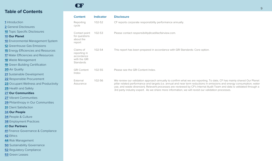CF

|                                             | <b>Content</b>            | <b>Indicator</b> | <b>Disclosure</b>                                                                                                                                                                                                            |
|---------------------------------------------|---------------------------|------------------|------------------------------------------------------------------------------------------------------------------------------------------------------------------------------------------------------------------------------|
| <b>1</b> Introduction                       | Reporting                 | 102-52           | CF reports corporate responsibility performance annually.                                                                                                                                                                    |
| <b>2</b> General Disclosures                | cycle                     |                  |                                                                                                                                                                                                                              |
| <b>10 Topic Specific Disclosures</b>        | Contact point             | 102-53           | Please contact responsibility@cadillacfairview.com.                                                                                                                                                                          |
| <b>10 Our Planet</b>                        | for questions             |                  |                                                                                                                                                                                                                              |
| <b>10</b> Environmental Management System   | about the<br>report       |                  |                                                                                                                                                                                                                              |
| <b>12</b> Greenhouse Gas Emissions          |                           |                  |                                                                                                                                                                                                                              |
| <b>15</b> Energy Efficiencies and Resources | Claims of<br>reporting in | 102-54           | This report has been prepared in accordance with GRI Standards: Core option.                                                                                                                                                 |
| <b>17</b> Water Efficiencies and Resources  | accordance                |                  |                                                                                                                                                                                                                              |
| <b>18</b> Waste Management                  | with the GRI<br>Standards |                  |                                                                                                                                                                                                                              |
| <b>19</b> Green Building Certification      |                           |                  |                                                                                                                                                                                                                              |
| <b>20 Air Quality</b>                       | <b>GRI Content</b>        | 102-55           | Please see the GRI Content Index.                                                                                                                                                                                            |
| 21 Sustainable Development                  | Index                     |                  |                                                                                                                                                                                                                              |
| 22 Responsible Procurement                  | External                  | 102-56           | We review our validation approach annually to confirm what we are reporting. To date, CF has mainly shared Our Planet                                                                                                        |
| 23 Occupant Wellness and Productivity       | Assurance                 |                  | pillar related performance and targets (i.e. annual and near term reductions in emissions and energy consumption, water                                                                                                      |
| <b>25</b> Health and Safety                 |                           |                  | use, and waste diversion). Relevant processes are reviewed by CF's Internal Audit Team and data is validated through a<br>3rd party industry expert. As we share more information, we will revisit our validation processes. |
| <b>27 Our Communities</b>                   |                           |                  |                                                                                                                                                                                                                              |
| 27 Vibrant Communities                      |                           |                  |                                                                                                                                                                                                                              |
| 29 Philanthropy in Our Communities          |                           |                  |                                                                                                                                                                                                                              |
| <b>31</b> Client Satisfaction               |                           |                  |                                                                                                                                                                                                                              |
| <b>34 Our People</b>                        |                           |                  |                                                                                                                                                                                                                              |
| 34 People & Culture                         |                           |                  |                                                                                                                                                                                                                              |
| <b>38 Employment Practices</b>              |                           |                  |                                                                                                                                                                                                                              |
| <b>41 Our Partners</b>                      |                           |                  |                                                                                                                                                                                                                              |
| 41 Finance Governance & Compliance          |                           |                  |                                                                                                                                                                                                                              |
| 42 Ethics                                   |                           |                  |                                                                                                                                                                                                                              |
| 44 Risk Management                          |                           |                  |                                                                                                                                                                                                                              |
| <b>50</b> Sustainability Governance         |                           |                  |                                                                                                                                                                                                                              |
| <b>52</b> Regulatory Compliance             |                           |                  |                                                                                                                                                                                                                              |
| <b>53</b> Green Leases                      |                           |                  |                                                                                                                                                                                                                              |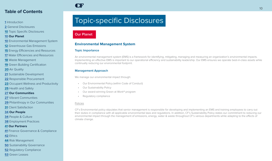- <span id="page-10-0"></span>**[1](#page-1-0)** Introduction
- **[2](#page-2-0)** General Disclosures
- **10** Topic Specific Disclosures

#### **10 Our Planet**

- **10** Environmental Management System
- **[12](#page-12-0)** Greenhouse Gas Emissions
- **[15](#page-15-0)** Energy Efficiencies and Resources
- **[17](#page-17-0)** Water Efficiencies and Resources
- **[18](#page-18-0)** Waste Management
- **[19](#page-19-0)** Green Building Certification
- **[20](#page-20-0)** Air Quality
- **[21](#page-21-0)** Sustainable Development
- **[22](#page-22-0)** Responsible Procurement
- **[23](#page-23-0)** Occupant Wellness and Productivity
- **[25](#page-25-0)** Health and Safety
- **[27](#page-27-0) Our Communities**
- **[27](#page-27-0)** Vibrant Communities
- **[29](#page-29-0)** Philanthropy in Our Communities
- **[31](#page-31-0)** Client Satisfaction
- **[34](#page-34-0) Our People**
- **[34](#page-34-0)** People & Culture
- **[38](#page-38-0)** Employment Practices
- **[41](#page-41-0) Our Partners**
- **[41](#page-41-0)** Finance Governance & Compliance
- **[42](#page-42-0)** Ethics
- **[44](#page-44-0)** Risk Management
- **[50](#page-50-0)** Sustainability Governance
- **[52](#page-52-0)** Regulatory Compliance
- **[53](#page-53-0)** Green Leases

# Topic-specific Disclosures

### **Our Planet**

CF

#### **Environmental Management System**

#### **Topic Importance**

An environmental management system (EMS) is a framework for identifying, mitigating, managing and measuring an organization's environmental impacts. Implementing an effective EMS is important to our operational efficiency and sustainability leadership. Our EMS ensures we operate best-in-class assets while continually reducing our environmental footprint.

#### **Management Approach**

We manage our environmental impact through:

- Our Environmental Policy (within Code of Conduct)
- Our Sustainability Policy
- Our award-winning Green at Work® program
- Regulatory compliance

#### Policies

CF's Environmental policy stipulates that senior management is responsible for developing and implementing an EMS and training employees to carry out their duties in compliance with all applicable environmental laws and regulations. In addition, CF's Sustainability Policy states our commitment to reducing our environmental impact through the management of emissions, energy, water & waste throughout CF's various departments while adapting to the effects of climate change.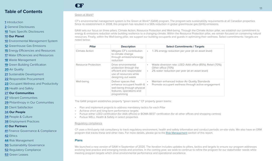#### **[1](#page-1-0)** Introduction

- **[2](#page-2-0)** General Disclosures
- **[10](#page-10-0)** Topic Specific Disclosures

#### **[10](#page-10-0) Our Planet**

- **[10](#page-10-0)** Environmental Management System
- **[12](#page-12-0)** Greenhouse Gas Emissions
- **[15](#page-15-0)** Energy Efficiencies and Resources
- **[17](#page-17-0)** Water Efficiencies and Resources
- **[18](#page-18-0)** Waste Management
- **[19](#page-19-0)** Green Building Certification
- **[20](#page-20-0)** Air Quality
- **[21](#page-21-0)** Sustainable Development
- **[22](#page-22-0)** Responsible Procurement
- **[23](#page-23-0)** Occupant Wellness and Productivity
- **[25](#page-25-0)** Health and Safety
- **[27](#page-27-0) Our Communities**
- **[27](#page-27-0)** Vibrant Communities
- **[29](#page-29-0)** Philanthropy in Our Communities
- **[31](#page-31-0)** Client Satisfaction
- **[34](#page-34-0) Our People**
- **[34](#page-34-0)** People & Culture
- **[38](#page-38-0)** Employment Practices

#### **[41](#page-41-0) Our Partners**

- **[41](#page-41-0)** Finance Governance & Compliance
- **[42](#page-42-0)** Ethics
- **[44](#page-44-0)** Risk Management
- **[50](#page-50-0)** Sustainability Governance
- **[52](#page-52-0)** Regulatory Compliance
- **[53](#page-53-0)** Green Leases

#### Green at Work®

CF

CF's environmental management system is the Green at Work® (GAW) program. The program sets sustainability requirements at all Canadian properties. Since its establishment in 2008, this program has resulted in a 56% reduction in global greenhouse gas (GHG) emissions.

GAW sets our focus on three pillars: Climate Action, Resource Protection and Well-being. Through the Climate Action pillar, we establish our commitment to energy & emissions reduction while building resilience to a changing climate. Within the Resource Protection pillar, we remain focused on conserving natural resources. Finally, within the Well-being pillar, we support our building occupants and guests in optimizing their wellness. Select commitments / targets are noted below:

| <b>Pillar</b>              | <b>Description</b>                                                                                                          | <b>Select Commitments / Targets</b>                                                                                                                           |
|----------------------------|-----------------------------------------------------------------------------------------------------------------------------|---------------------------------------------------------------------------------------------------------------------------------------------------------------|
| <b>Climate Action</b>      | Mitigate CF's contribution<br>to climate change<br>through emissions/energy<br>reduction                                    | 1-3% energy reduction per year (at an asset level)<br>$\bullet$                                                                                               |
| <b>Resource Protection</b> | Drive environmental<br>protection through the<br>efficient and responsible<br>use of resources while<br>designing out waste | Waste diversion rate: LEED AAA office (85%); Retail (70%);<br>$\bullet$<br>Other office (70%)<br>2% water reduction per year (at an asset level)<br>$\bullet$ |
| Well-being                 | Deliver spaces that<br>enhance occupant health &<br>well-being through physical<br>features, operations and<br>programming  | Maintain enhanced Indoor Air Quality Standards<br>$\bullet$<br>Promote occupant wellness through active engagement<br>$\bullet$                               |

The GAW program establishes property "green teams." CF property green teams:

- Plan and implement projects to address mandatory tactics for each Pillar
- Achieve short and long-term performance targets
- Pursue either LEED certification (for AAA offices) or BOMA BEST certification (for all other offices and shopping centres)
- Pursue WELL Health & Safety in select properties

#### Regulatory compliance

CF uses a third-party risk consultancy to track regulatory environment, health and safety information and conduct periodic on-site visits. We also have an ERM program that tracks these and other risks. For more details, please go to the [Risk Management](#page-44-0) section of this report.

#### **Plans**

We launched a new version of GAW in September of 2020. The iteration includes updates to pillars, tactics and targets to ensure our program addresses evolving best practice and emerging trends and priorities. In the coming year, we seek to continue to refine the program for our stakeholder needs while meeting program targets which drive environmental performance and operational excellence.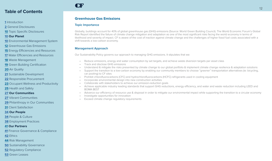#### <span id="page-12-0"></span>**[1](#page-1-0)** Introduction

**[2](#page-2-0)** General Disclosures

**[10](#page-10-0)** Topic Specific Disclosures

#### **[10](#page-10-0) Our Planet**

- **[10](#page-10-0)** Environmental Management System
- **12** Greenhouse Gas Emissions
- **[15](#page-15-0)** Energy Efficiencies and Resources
- **[17](#page-17-0)** Water Efficiencies and Resources
- **[18](#page-18-0)** Waste Management
- **[19](#page-19-0)** Green Building Certification
- **[20](#page-20-0)** Air Quality
- **[21](#page-21-0)** Sustainable Development
- **[22](#page-22-0)** Responsible Procurement
- **[23](#page-23-0)** Occupant Wellness and Productivity
- **[25](#page-25-0)** Health and Safety
- **[27](#page-27-0) Our Communities**
- **[27](#page-27-0)** Vibrant Communities
- **[29](#page-29-0)** Philanthropy in Our Communities
- **[31](#page-31-0)** Client Satisfaction

#### **[34](#page-34-0) Our People**

- **[34](#page-34-0)** People & Culture
- **[38](#page-38-0)** Employment Practices

#### **[41](#page-41-0) Our Partners**

- **[41](#page-41-0)** Finance Governance & Compliance
- **[42](#page-42-0)** Ethics
- **[44](#page-44-0)** Risk Management
- **[50](#page-50-0)** Sustainability Governance
- **[52](#page-52-0)** Regulatory Compliance
- **[53](#page-53-0)** Green Leases

#### **Greenhouse Gas Emissions**

#### **Topic Importance**

CF

Globally, buildings account for 40% of global greenhouse gas (GHG) emissions (Source: World Green Building Council). The World Economic Forum's Global Risk Report identified the failure of climate change mitigation and adaptation as one of the most significant risks facing the world economy in terms of likelihood and severity of impact. CF is aware of the cost of inaction against climate change and the challenges of higher fossil fuel costs associated with a shift towards a low-carbon economy.

#### **Management Approach**

Our Sustainability Policy governs our approach to managing GHG emissions. It stipulates that we:

- Reduce emissions, energy and water consumption by set targets, and achieve waste diversion targets per asset class
- Track and disclose GHG emissions
	- Understand & mitigate the risks presented by climate change to our global portfolio & implement climate change resilience & adaptation solutions
- Support the transition to a low-carbon economy by enabling our community members to choose "greener" transportation alternatives (ie: bicycling, car pooling) to CF sites
- Prohibit chlorofluorocarbons (CFC) and hydrochlorofluorocarbons (HCFC) refrigerants used in cooling equipment
- Incorporate environmental design into new construction activities
- Collaborate with stakeholders to achieve our emission-reduction goals
- Achieve applicable industry leading standards that support GHG reductions, energy efficiency, and water and waste reduction including LEED and BOMA BEST
- Advance our efficiency of resource use & disposal in order to mitigate our environmental impact while supporting the transition to a circular economy
- Investigate opportunities for innovation
- Exceed climate change regulatory requirements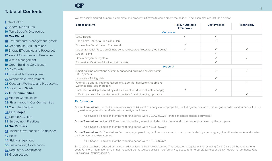#### **[1](#page-1-0)** Introduction

**[2](#page-2-0)** General Disclosures

**[10](#page-10-0)** Topic Specific Disclosures

#### **[10](#page-10-0) Our Planet**

**[10](#page-10-0)** Environmental Management System

**[12](#page-12-0)** Greenhouse Gas Emissions

**[15](#page-15-0)** Energy Efficiencies and Resources

**[17](#page-17-0)** Water Efficiencies and Resources

**[18](#page-18-0)** Waste Management

**[19](#page-19-0)** Green Building Certification

**[20](#page-20-0)** Air Quality

**[21](#page-21-0)** Sustainable Development

**[22](#page-22-0)** Responsible Procurement

**[23](#page-23-0)** Occupant Wellness and Productivity

**[25](#page-25-0)** Health and Safety

**[27](#page-27-0) Our Communities**

**[27](#page-27-0)** Vibrant Communities

**[29](#page-29-0)** Philanthropy in Our Communities

**[31](#page-31-0)** Client Satisfaction

**[34](#page-34-0) Our People**

**[34](#page-34-0)** People & Culture

**[38](#page-38-0)** Employment Practices

**[41](#page-41-0) Our Partners**

**[41](#page-41-0)** Finance Governance & Compliance

**[42](#page-42-0)** Ethics

**[44](#page-44-0)** Risk Management

**[50](#page-50-0)** Sustainability Governance

**[52](#page-52-0)** Regulatory Compliance

**[53](#page-53-0)** Green Leases

We have implemented numerous corporate and property initiatives to complement the policy. Select examples are included below:

| <b>Select Initiative</b>                                                                               | <b>Policy / Strategic</b><br><b>Framework</b> | <b>Best Practice</b> | <b>Technology</b> |
|--------------------------------------------------------------------------------------------------------|-----------------------------------------------|----------------------|-------------------|
| Corporate                                                                                              |                                               |                      |                   |
| <b>GHG Target</b>                                                                                      | ✓                                             | ✓                    |                   |
| Long Term Energy & Emissions Plan                                                                      |                                               | ✓                    |                   |
| Sustainable Development Framework                                                                      | ✓                                             |                      |                   |
| Green at Work® (Focus on Climate Action, Resource Protection, Well-being)                              |                                               | ✓                    | $\checkmark$      |
| Green Teams                                                                                            |                                               |                      |                   |
| Data management system                                                                                 |                                               |                      | ✓                 |
| External verification of GHG emissions data                                                            |                                               | ✓                    |                   |
| <b>Property</b>                                                                                        |                                               |                      |                   |
| Smart building operations system & enhanced building analytics within<br><b>BAS</b> systems            |                                               | ✓                    | $\checkmark$      |
| Low Waste Dining Halls                                                                                 |                                               | ✓                    |                   |
| Alternative energy implementation (e.g., geo-thermal system, deep lake<br>water cooling, cogeneration) |                                               |                      | $\checkmark$      |
| Evaluation of risk presented by extreme weather (due to climate change)                                | ✓                                             | ✓                    |                   |
| LED lighting retrofits, building envelope, HVAC and plumbing upgrades                                  |                                               |                      | ✓                 |

#### **Performance**

CF

**Scope 1 emissions:** Direct GHG emissions from activities at company-owned properties, including combustion of natural gas in boilers and furnaces, the use of gasoline in generators and vehicles and refrigerant losses

• CF's Scope 1 emissions for the reporting period were 22,362 tCO2e (tonnes of carbon dioxide equivalent)

**Scope 2 emissions:** Indirect GHG emissions from the generation of electricity, steam and chilled water purchased by the company

• CF's Scope 2 emissions for the reporting period were 46,031 tCO2e

**Scope 3 emissions:** GHG emissions from company operations, but from sources not owned or controlled by company, e.g., landfill waste, water and waste transportation and data centres

• CF's Scope 3 emissions for the reporting period were 16,216 tCO2e

Since 2008, we have reduced our annual GHG emissions by 110,000 tonnes. This reduction is equivalent to removing 23,910 cars off the road for one year. For more information on our most recent greenhouse gas emission performance, please refer to our 2022 Responsibility Report – Greenhouse Gas Emissions & Intensity section.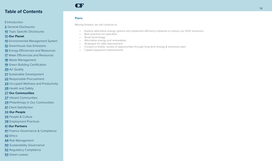#### Introduction

- General Disclosures
- Topic Specific Disclosures

#### **Our Planet**

- Environmental Management System
- Greenhouse Gas Emissions
- Energy Efficiencies and Resources
- Water Efficiencies and Resources
- Waste Management
- Green Building Certification
- Air Quality
- Sustainable Development
- Responsible Procurement
- Occupant Wellness and Productivity
- Health and Safety

#### **Our Communities**

- Vibrant Communities
- Philanthropy in Our Communities
- Client Satisfaction

#### **Our People**

- People & Culture
- Employment Practices

#### **Our Partners**

- Finance Governance & Compliance
- Ethics
- Risk Management
- Sustainability Governance
- Regulatory Compliance
- Green Leases

#### **Plans**

**CF** 

Moving forward, we will continue to:

- Explore alternative energy options and implement efficiency initiatives to reduce our GHG emissions
- Best practices for operators
- Smart technology
- Alternative energy and renewables
- Strategies for data improvement
- Conduct a holistic review of opportunities through long term energy & emissions plan
- Capital equipment replacements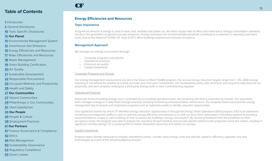#### <span id="page-15-0"></span>**[1](#page-1-0)** Introduction

**[2](#page-2-0)** General Disclosures

**[10](#page-10-0)** Topic Specific Disclosures

#### **[10](#page-10-0) Our Planet**

- **[10](#page-10-0)** Environmental Management System
- **[12](#page-12-0)** Greenhouse Gas Emissions
- **15** Energy Efficiencies and Resources
- **[17](#page-17-0)** Water Efficiencies and Resources
- **[18](#page-18-0)** Waste Management
- **[19](#page-19-0)** Green Building Certification
- **[20](#page-20-0)** Air Quality
- **[21](#page-21-0)** Sustainable Development
- **[22](#page-22-0)** Responsible Procurement
- **[23](#page-23-0)** Occupant Wellness and Productivity
- **[25](#page-25-0)** Health and Safety

#### **[27](#page-27-0) Our Communities**

- **[27](#page-27-0)** Vibrant Communities
- **[29](#page-29-0)** Philanthropy in Our Communities
- **[31](#page-31-0)** Client Satisfaction
- **[34](#page-34-0) Our People**
- **[34](#page-34-0)** People & Culture
- **[38](#page-38-0)** Employment Practices

#### **[41](#page-41-0) Our Partners**

- **[41](#page-41-0)** Finance Governance & Compliance
- **[42](#page-42-0)** Ethics
- **[44](#page-44-0)** Risk Management
- **[50](#page-50-0)** Sustainability Governance
- **[52](#page-52-0)** Regulatory Compliance
- **[53](#page-53-0)** Green Leases

### **Energy Efficiencies and Resources**

#### **Topic Importance**

CF

A significant amount of energy is used to heat, cool, ventilate and power our 36 million square feet of office and retail space. Energy consumption ultimately results in the generation of greenhouse gas emissions. Energy reductions are environmentally beneficial; contribute to a reduction in operating and client costs. Due to the impact of COVID-19, most of CF's office buildings experienced reduced occupancy.

#### **Management Approach**

We manage our energy consumption through:

- Corporate programs and policies
- Operational practices
- Enhanced air quality
- Capital investments

#### Corporate Programs and Policies

Our energy management requirements are set in the Green at Work® (GAW) program. Our annual energy reduction targets range from 1-3%. GAW energy reporting is normalized for weather to enable accurate year-over-year comparisons. Our Sustainability policy sets short-term and long-term objectives for our properties, and each property undergoes a third-party energy audit or retro-commissioning regularly.

#### Operational Practices

About two thirds of building energy use is controlled by our building operations team, the remaining one third is controlled by tenants. Our operations team manages energy on a daily basis through practices including scheduling and preventative maintenance. Our property teams communicate energy management tips to tenants and implement programs such as night-time audits to identify reduction opportunities.

One significant manner by which CF identifies energy reduction opportunities is through the Energy Smart Operations (ESO) program. ESO is an advanced monitoring and diagnostic platform used to optimize energy efficiency and allowed us to shift our focus from optimization of building systems to providing recommendations unique to each building on how to reduce the building's energy consumption. By receiving feedback from the properties on their occupancy levels, the program was able to analyze the operation of each building and provide specific actions to the properties every two weeks, resulting in significant monthly savings. CF is evolving ESO to further streamline resources and deliver on savings.

#### Capital Investments

Property teams identify measures to mitigate operational carbon, counter rising energy costs and allocate capital to efficiency upgrades and new technologies as a part of the annual budgeting process.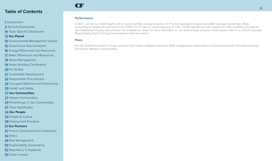#### Introduction

General Disclosures

Topic Specific Disclosures

#### **Our Planet**

- Environmental Management System
- Greenhouse Gas Emissions
- Energy Efficiencies and Resources
- Water Efficiencies and Resources
- Waste Management
- Green Building Certification
- Air Quality
- Sustainable Development
- Responsible Procurement
- Occupant Wellness and Productivity
- Health and Safety
- **Our Communities**
- Vibrant Communities
- Philanthropy in Our Communities
- Client Satisfaction

#### **Our People**

- People & Culture
- Employment Practices

#### **Our Partners**

- Finance Governance & Compliance
- Ethics
- Risk Management
- Sustainability Governance
- Regulatory Compliance
- Green Leases

## **CF**

#### **Performance**

In 2021, we met our GAW targets with an overall portfolio energy reduction of 11%, the equivalent of powering 2,880 Canadian households. (Note: accounting for additional reductions from COVID-19, CF saw an overall reduction of 14%. COVID adjustments were applied for Office portfolio only aligned with established industry best practice (not available for retail). For more information on our latest energy reduction result, please refer to our 2022 Corporate Responsibility Report: Energy Consumption & Intensity section.

#### **Plans**

We will continue to invest in energy reduction and carbon mitigation measures while engaging key stakeholders to proactively identify and address energy and carbon efficiency opportunities.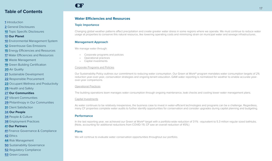- <span id="page-17-0"></span>**[1](#page-1-0)** Introduction
- **[2](#page-2-0)** General Disclosures
- **[10](#page-10-0)** Topic Specific Disclosures
- **[10](#page-10-0) Our Planet**
- **[10](#page-10-0)** Environmental Management System
- **[12](#page-12-0)** Greenhouse Gas Emissions
- **[15](#page-15-0)** Energy Efficiencies and Resources
- **17** Water Efficiencies and Resources
- **[18](#page-18-0)** Waste Management
- **[19](#page-19-0)** Green Building Certification
- **[20](#page-20-0)** Air Quality
- **[21](#page-21-0)** Sustainable Development
- **[22](#page-22-0)** Responsible Procurement
- **[23](#page-23-0)** Occupant Wellness and Productivity
- **[25](#page-25-0)** Health and Safety
- **[27](#page-27-0) Our Communities**
- **[27](#page-27-0)** Vibrant Communities
- **[29](#page-29-0)** Philanthropy in Our Communities
- **[31](#page-31-0)** Client Satisfaction
- **[34](#page-34-0) Our People**
- **[34](#page-34-0)** People & Culture
- **[38](#page-38-0)** Employment Practices

#### **[41](#page-41-0) Our Partners**

- **[41](#page-41-0)** Finance Governance & Compliance
- **[42](#page-42-0)** Ethics
- **[44](#page-44-0)** Risk Management
- **[50](#page-50-0)** Sustainability Governance
- **[52](#page-52-0)** Regulatory Compliance
- **[53](#page-53-0)** Green Leases

#### **Water Efficiencies and Resources**

#### **Topic Importance**

CF

Changing global weather patterns affect precipitation and create greater water stress in some regions where we operate. We must continue to reduce water usage at properties to conserve this natural resource, like lowering operating costs and minimizing strain on municipal water and sewage infrastructures.

#### **Management Approach**

We manage water through:

- Corporate programs and policies
- Operational practices
- Capital investments

#### Corporate Programs and Policies

Our Sustainability Policy outlines our commitment to reducing water consumption. Our Green at Work® program mandates water consumption targets of 2% reduction year-over-year, conservation strategies and ongoing tenant education. GAW water reporting is normalized for weather to enable accurate yearover-year comparisons.

#### Operational Practices

The building operations team manages water consumption through ongoing maintenance, leak checks and cooling tower water management plans.

#### Capital Investments

As water continues to be relatively inexpensive, the business case to invest in water-efficient technologies and programs can be a challenge. Regardless, many CF properties complete water audits to further identify opportunities for conservation and consider upgrades during capital planning and budgeting.

#### **Performance**

In the last reporting year, we achieved our Green at Work® target with a portfolio-wide reduction of 31% - equivalent to 5.3 million regular sized bathtubs. (Note, accounting for additional reductions from COVID-19, CF saw an overall reduction of 45%.)

#### **Plans**

We will continue to evaluate water conservation opportunities throughout our portfolio.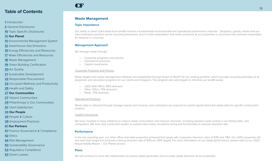#### <span id="page-18-0"></span>**[1](#page-1-0)** Introduction

**[2](#page-2-0)** General Disclosures

**[10](#page-10-0)** Topic Specific Disclosures

#### **[10](#page-10-0) Our Planet**

- **[10](#page-10-0)** Environmental Management System
- **[12](#page-12-0)** Greenhouse Gas Emissions
- **[15](#page-15-0)** Energy Efficiencies and Resources
- **[17](#page-17-0)** Water Efficiencies and Resources
- **18** Waste Management
- **[19](#page-19-0)** Green Building Certification
- **[20](#page-20-0)** Air Quality
- **[21](#page-21-0)** Sustainable Development
- **[22](#page-22-0)** Responsible Procurement
- **[23](#page-23-0)** Occupant Wellness and Productivity
- **[25](#page-25-0)** Health and Safety
- **[27](#page-27-0) Our Communities**
- **[27](#page-27-0)** Vibrant Communities
- **[29](#page-29-0)** Philanthropy in Our Communities

**[31](#page-31-0)** Client Satisfaction

#### **[34](#page-34-0) Our People**

- **[34](#page-34-0)** People & Culture
- **[38](#page-38-0)** Employment Practices

#### **[41](#page-41-0) Our Partners**

- **[41](#page-41-0)** Finance Governance & Compliance
- **[42](#page-42-0)** Ethics
- **[44](#page-44-0)** Risk Management
- **[50](#page-50-0)** Sustainability Governance
- **[52](#page-52-0)** Regulatory Compliance
- **[53](#page-53-0)** Green Leases

## CF

#### **Waste Management**

#### **Topic Importance**

Our ability to divert solid waste from landfill remains a fundamental environmental and operational performance indicator. Shoppers, guests, clients and our own employees practice sound recycling behaviours, and it is their expectation that waste produced at our properties is recovered and removed responsibly for disposal or recycling.

#### **Management Approach**

We manage waste through:

- Corporate programs and policies
- Operational practices
- Capital investments

#### Corporate Programs and Policies

Waste targets and waste management initiatives are established through Green at Work® for our existing portfolio, which provides recycling amenities at all properties and education programs for our clients and shoppers. The program also sets targets to minimize our landfill waste:

- LEED AAA Office: 85% diversion
- Other Office: 70% diversion
- Retail: 70% diversion

#### Operational Practices

Waste data is collected through haulage reports and invoices, and contractors are required to submit reports that track waste data for specific construction projects.

#### Capital Investments

We have invested in many initiatives to reduce waste consumption and improve diversion, including assisted waste sorting in our Dining Halls, and composters. We have also conducted studies to explore ideal waste receptacle sizing and functionality to improve diversion rate.

#### **Performance**

In the last reporting year, our other office and retail properties achieved their goals with respective diversion rates of 83% and 78%. Our LEED properties did not meet their target but achieved a strong diversion rate of 84% (vs. 85% target). For more information on our waste performance, please refer to our 2022 Responsibility Report – Our Planet section.

#### **Plans**

We will continue to work with stakeholders to reduce waste generation and increase waste diversion at our properties.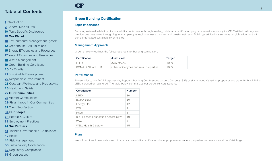- <span id="page-19-0"></span>**[1](#page-1-0)** Introduction
- **[2](#page-2-0)** General Disclosures
- **[10](#page-10-0)** Topic Specific Disclosures

#### **[10](#page-10-0) Our Planet**

- **[10](#page-10-0)** Environmental Management System
- **[12](#page-12-0)** Greenhouse Gas Emissions
- **[15](#page-15-0)** Energy Efficiencies and Resources
- **[17](#page-17-0)** Water Efficiencies and Resources

**[18](#page-18-0)** Waste Management

**19** Green Building Certification

**[20](#page-20-0)** Air Quality

- **[21](#page-21-0)** Sustainable Development
- **[22](#page-22-0)** Responsible Procurement
- **[23](#page-23-0)** Occupant Wellness and Productivity
- **[25](#page-25-0)** Health and Safety
- **[27](#page-27-0) Our Communities**
- **[27](#page-27-0)** Vibrant Communities

**[29](#page-29-0)** Philanthropy in Our Communities

**[31](#page-31-0)** Client Satisfaction

**[34](#page-34-0) Our People**

**[34](#page-34-0)** People & Culture

**[38](#page-38-0)** Employment Practices

#### **[41](#page-41-0) Our Partners**

**[41](#page-41-0)** Finance Governance & Compliance

**[42](#page-42-0)** Ethics

**[44](#page-44-0)** Risk Management

**[50](#page-50-0)** Sustainability Governance

**[52](#page-52-0)** Regulatory Compliance

**[53](#page-53-0)** Green Leases

### **Green Building Certification**

#### **Topic Importance**

CF

Securing external validation of sustainability performance through leading, third-party certification programs remains a priority for CF. Certified buildings also provide business value through higher occupancy rates, lower lease turnover and greater net rents. Building certifications serve as tangible alignment with our clients' stated sustainability principles.

#### **Management Approach**

Green at Work® outlines the following targets for building certification:

| <b>Certification</b>     | Asset class                              | Target |
|--------------------------|------------------------------------------|--------|
| FFD                      | AAA offices                              | 100%   |
| <b>BOMA BEST or LEED</b> | Other office types and retail properties | 100%   |

#### **Performance**

Please refer to our 2022 Responsibility Report – Building Certifications section. Currently, 93% of all managed Canadian properties are either BOMA BEST or LEED-certified or registered. The table below summarizes our portfolio's certifications:

| Certification                        | <b>Number</b> |
|--------------------------------------|---------------|
| LEED                                 | 30            |
| <b>BOMA BEST</b>                     | 50            |
| <b>Energy Star</b>                   | 12            |
| WFII                                 | 1             |
| Fitwel                               | 1             |
| Rick Hansen Foundation Accessibility | 10            |
| Wired                                | 7             |
| WELL Health & Safety                 | 15            |

#### **Plans**

We will continue to evaluate new third-party sustainability certifications for appropriateness at our properties and work toward our GAW target.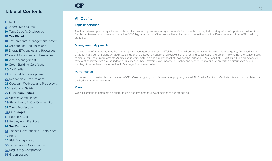#### <span id="page-20-0"></span>Introduction

General Disclosures

Topic Specific Disclosures

#### **Our Planet**

- Environmental Management System
- Greenhouse Gas Emissions

Energy Efficiencies and Resources

Water Efficiencies and Resources

Waste Management

Green Building Certification

Air Quality

Sustainable Development

Responsible Procurement

Occupant Wellness and Productivity

Health and Safety

**Our Communities**

Vibrant Communities

Philanthropy in Our Communities

Client Satisfaction

 **Our People**

People & Culture

Employment Practices

#### **Our Partners**

Finance Governance & Compliance

Ethics

Risk Management

Sustainability Governance

Regulatory Compliance

Green Leases

## CF

### **Air Quality**

#### **Topic Importance**

The link between poor air quality and asthma, allergies and upper respiratory diseases is indisputable, making indoor air quality an important consideration for clients. Research has revealed that a low-VOC, high-ventilation office can lead to an increase in cognitive function (Delos, founder of the WELL building standard).

#### **Management Approach**

Our Green at Work® program addresses air quality management under the Well-being Pillar where properties undertake indoor air quality (IAQ) audits and establish management plans. An audit tests indoor and outdoor air quality and reviews schematics and specifications to determine whether the space meets minimum ventilation requirements. Audits also identify materials and substances that "pollute" the indoor air. As a result of COVID-19, CF did an extensive review of best practices around indoor air quality and HVAC systems. We updated our policy and procedures to ensure optimized performance of our buildings in order to enhance the health & safety of our stakeholders

#### **Performance**

Indoor air quality testing is a component of CF's GAW program, which is an annual program; related Air Quality Audit and Ventilation testing is completed and tracked via the GAW platform.

#### **Plans**

We will continue to complete air quality testing and implement relevant actions at our properties.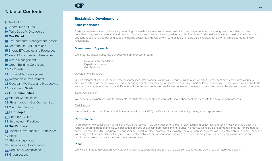#### <span id="page-21-0"></span>**[1](#page-1-0)** Introduction

**[2](#page-2-0)** General Disclosures

**[10](#page-10-0)** Topic Specific Disclosures

#### **[10](#page-10-0) Our Planet**

- **[10](#page-10-0)** Environmental Management System
- **[12](#page-12-0)** Greenhouse Gas Emissions
- **[15](#page-15-0)** Energy Efficiencies and Resources

**[17](#page-17-0)** Water Efficiencies and Resources

**[18](#page-18-0)** Waste Management

**[19](#page-19-0)** Green Building Certification

**[20](#page-20-0)** Air Quality

- **21** Sustainable Development
- **[22](#page-22-0)** Responsible Procurement
- **[23](#page-23-0)** Occupant Wellness and Productivity
- **[25](#page-25-0)** Health and Safety

#### **[27](#page-27-0) Our Communities**

**[27](#page-27-0)** Vibrant Communities

**[29](#page-29-0)** Philanthropy in Our Communities

**[31](#page-31-0)** Client Satisfaction

**[34](#page-34-0) Our People**

- **[34](#page-34-0)** People & Culture
- **[38](#page-38-0)** Employment Practices

#### **[41](#page-41-0) Our Partners**

**[41](#page-41-0)** Finance Governance & Compliance

**[42](#page-42-0)** Ethics

**[44](#page-44-0)** Risk Management

**[50](#page-50-0)** Sustainability Governance

**[52](#page-52-0)** Regulatory Compliance

**[53](#page-53-0)** Green Leases

### **Sustainable Development**

#### **Topic Importance**

CF

Sustainable development includes implementing sustainability measures in new construction and major renovations through supplier selection, site considerations, material selection and design. It is key to preserving and adding value over the long term. Additionally, many major market jurisdictions are updating regulations and building codes to include sustainable development features (e.g., net-zero). It is important for us to remain prepared for these regulations.

#### **Management Approach**

We integrate sustainability into our development process through:

- Development standards
- **Expert consultation**
- Certifications

#### Development Standards

Our development standards incorporate best practices into all aspects of designing and building our properties. These best practices address aspects such as construction methodology, community engagement, placemaking, wellness, accessibility, smart building technology, energy, water, waste and GHG emissions management, security and life safety. Since these aspects are usually interconnected, we work to consider them at the earliest stages of planning.

#### Expert Consultation

We engage sustainability experts, architects, consultants, engineers and contractors to embed best practices into the development process.

#### Certifications

We target Leadership in Energy and Environmental Design (LEED) certification for all new developments, where appropriate.

#### **Performance**

In our recent new construction at 16 York, we partnered with PCL Construction on a pilot project targeting LEED Platinum (which was confirmed post this report's reporting period) and WELL certification on spec showcasing our commitment to ensuring high sustainable development standards – more details can be found in the 2022 Corporate Responsibility Report. Another example of sustainable development is the provision of electric vehicle charging capacity. We recognize that Canadians will rely more on electric vehicles for transportation and as a result, we currently have 343 charging stations across our portfolio, and we incorporate them into new developments.

#### **Plans**

We will continue to develop our low-carbon strategy to support the transition to a low-carbon economy and stay ahead of future regulations.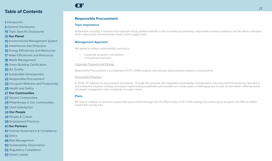- <span id="page-22-0"></span>Introduction
- General Disclosures
- Topic Specific Disclosures
- **Our Planet**
- Environmental Management System
- Greenhouse Gas Emissions
- Energy Efficiencies and Resources
- Water Efficiencies and Resources
- Waste Management
- Green Building Certification
- Air Quality
- Sustainable Development
- Responsible Procurement
- Occupant Wellness and Productivity
- Health and Safety
- **Our Communities**
- Vibrant Communities
- Philanthropy in Our Communities
- Client Satisfaction
- **Our People**
- People & Culture
- Employment Practices

#### **Our Partners**

- Finance Governance & Compliance
- Ethics
- Risk Management
- Sustainability Governance
- Regulatory Compliance
- Green Leases

#### **Responsible Procurement**

#### **Topic Importance**

CF

Sustainable sourcing of services and materials brings positive benefits to the economy by promoting responsible business practices and fair labour principles while reducing the environmental impact of the supply chain.

#### **Management Approach**

We aspire to embed responsibility sourcing in:

- Corporate programs and policies
- Procurement practices

#### Corporate Programs and Policies

Responsible Procurement is a component of CF's GAW program and includes best practices related to procurement.

#### Procurement Practices

In 2018, CF digitized its procurement procedures. Through this process, we integrated sustainability considerations into procurement across our operations and measured adoption of these principles. Implementing sustainable procurement on a wide scale is challenging due to lack of information, differing levels of supplier engagement and complexity of supply chains.

#### **Plans**

We plan to continue to advance responsible procurement through the Our Planet pillar of CF's ESG strategy by continuing to set goals and KPIs to further mature this priority area.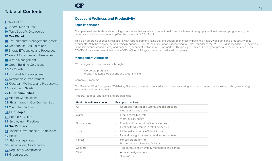#### <span id="page-23-0"></span>**[1](#page-1-0)** Introduction

**[2](#page-2-0)** General Disclosures

**[10](#page-10-0)** Topic Specific Disclosures

#### **[10](#page-10-0) Our Planet**

- **[10](#page-10-0)** Environmental Management System
- **[12](#page-12-0)** Greenhouse Gas Emissions

**[15](#page-15-0)** Energy Efficiencies and Resources

- **[17](#page-17-0)** Water Efficiencies and Resources
- **[18](#page-18-0)** Waste Management

**[19](#page-19-0)** Green Building Certification

**[20](#page-20-0)** Air Quality

**[21](#page-21-0)** Sustainable Development

**[22](#page-22-0)** Responsible Procurement

**23** Occupant Wellness and Productivity

**[25](#page-25-0)** Health and Safety

**[27](#page-27-0) Our Communities**

**[27](#page-27-0)** Vibrant Communities

**[29](#page-29-0)** Philanthropy in Our Communities

**[31](#page-31-0)** Client Satisfaction

**[34](#page-34-0) Our People**

**[34](#page-34-0)** People & Culture

**[38](#page-38-0)** Employment Practices

#### **[41](#page-41-0) Our Partners**

**[41](#page-41-0)** Finance Governance & Compliance

**[42](#page-42-0)** Ethics

**[44](#page-44-0)** Risk Management

**[50](#page-50-0)** Sustainability Governance

**[52](#page-52-0)** Regulatory Compliance

**[53](#page-53-0)** Green Leases

### **Occupant Wellness and Productivity**

#### **Topic Importance**

CF

Occupant wellness is about developing workspaces that enhance occupant health and well-being through physical features and programming the importance of which has been amplified by the onset of COVID-19.

This is an emerging aspect in real estate, with reports demonstrating that the design of an office impacts the health, well-being and productivity of its occupants. With the average person typically spending 90% of their time indoors (according to Delos, founder of the WELL building standard), CF believes in the importance of addressing and enhancing occupant wellness in our properties. This past year, much like the year previous, the persistence of the COVID-19 pandemic meant that most of CF's office buildings experienced reduced occupancy.

#### **Management Approach**

CF manages occupant wellness through:

- Corporate programs
- Property features, operations and programming

#### Corporate Programs

Our Green at Work® program's Well-being Pillar supports actions related to occupant well-being include indoor air quality testing, raising well-being awareness and engagement.

Property features, operations and programming

| Health & wellness concept | <b>Example practices</b>                                     |
|---------------------------|--------------------------------------------------------------|
| Air                       | Upgraded ventilation systems and raised floors<br>$\bullet$  |
|                           | Indoor air quality audits<br>$\bullet$                       |
| Water                     | Free, accessible water<br>٠                                  |
|                           | Water quality audits<br>$\bullet$                            |
| <b>Nourishment</b>        | Functional kitchens in office properties<br>$\bullet$        |
|                           | Healthy food retailers in retail properties<br>$\bullet$     |
| Light                     | High-quality, energy efficient lighting<br>$\bullet$         |
|                           | Natural daylight harvesting and large windows<br>$\bullet$   |
| <b>Fitness</b>            | Fitness programming<br>٠                                     |
|                           | Bike racks and changing facilities<br>٠                      |
| Comfort                   | Temperature and humidity monitoring and control<br>$\bullet$ |
| Mind                      | Art and design features<br>$\bullet$                         |
|                           | "Green" walls<br>٠                                           |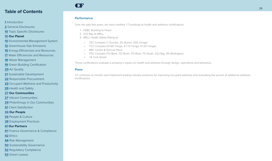#### Introduction

General Disclosures

Topic Specific Disclosures

#### **Our Planet**

Environmental Management System

Greenhouse Gas Emissions

Energy Efficiencies and Resources

Water Efficiencies and Resources

Waste Management

Green Building Certification

Air Quality

Sustainable Development

Responsible Procurement

Occupant Wellness and Productivity

Health and Safety

**Our Communities**

Vibrant Communities

Philanthropy in Our Communities

Client Satisfaction

#### **Our People**

People & Culture

Employment Practices

#### **Our Partners**

Finance Governance & Compliance

Ethics

Risk Management

Sustainability Governance

Regulatory Compliance

Green Leases

## **CF**

#### **Performance**

Over the past few years, we have certified 17 buildings to health and wellness certifications:

- 1. HSBC Building to Fitwel
- 2. 222 Bay to WELL
- 3. WELL Health Safety Rating at:
	- TEC Complex (1 Dundas, 20 Queen, 250 Yonge)
	- YCC Complex (4100 Yonge, 4110 Yonge, 4120 Yonge)
	- RBC Centre & Simcoe Place
	- TDC Complex (TD Bank, TD North, TD West, TD South, 222 Bay, 95 Wellington)
	- 16 York Street

These certifications evaluate a property's impact on health and wellness through design, operations and behaviour.

#### **Plans**

CF continues to monitor and implement leading industry practices for improving occupant wellness and evaluating the pursuit of additional wellness certifications.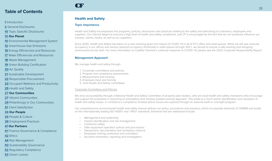#### <span id="page-25-0"></span>**[1](#page-1-0)** Introduction

**[2](#page-2-0)** General Disclosures

**[10](#page-10-0)** Topic Specific Disclosures

#### **[10](#page-10-0) Our Planet**

- **[10](#page-10-0)** Environmental Management System
- **[12](#page-12-0)** Greenhouse Gas Emissions
- **[15](#page-15-0)** Energy Efficiencies and Resources
- **[17](#page-17-0)** Water Efficiencies and Resources
- **[18](#page-18-0)** Waste Management
- **[19](#page-19-0)** Green Building Certification
- **[20](#page-20-0)** Air Quality
- **[21](#page-21-0)** Sustainable Development
- **[22](#page-22-0)** Responsible Procurement
- **[23](#page-23-0)** Occupant Wellness and Productivity
- **25** Health and Safety

#### **[27](#page-27-0) Our Communities**

- **[27](#page-27-0)** Vibrant Communities
- **[29](#page-29-0)** Philanthropy in Our Communities
- **[31](#page-31-0)** Client Satisfaction

#### **[34](#page-34-0) Our People**

- **[34](#page-34-0)** People & Culture
- **[38](#page-38-0)** Employment Practices

#### **[41](#page-41-0) Our Partners**

- **[41](#page-41-0)** Finance Governance & Compliance
- **[42](#page-42-0)** Ethics
- **[44](#page-44-0)** Risk Management
- **[50](#page-50-0)** Sustainability Governance
- **[52](#page-52-0)** Regulatory Compliance

#### **[53](#page-53-0)** Green Leases

## CF

### **Health and Safety**

#### **Topic Importance**

Health and Safety encompasses the programs, policies, disclosures and practices relating to the safety and well-being of customers, employees and suppliers. Our internal diligence ensures a high level of health and safety compliance, and CF is encouraged by the fact that we can positively influence our industry, clients, trades, as well as our suppliers.

Since 2020, Health and Safety has taken on a new meaning given the impact of COVID-19 in all of CF's office and retail spaces. While we still saw reduced occupancy in our offices and various reduced occupancy thresholds in retail spaces through 2021, we strived to ensure a safe working and shopping environment across both. For more information on Cadillac Fairview's continual response to COVID-19, please see the 2022 Corporate Responsibility Report.

#### **Management Approach**

We manage health and safety through:

- 1. Corporate committees and policies
- 2. Program and compliance assessments
- 3. Measurement and tracking
- 4. Employee input and training
- 5. Joint Health and Safety committees

#### Corporate Committees and Policies

We drive accountability through a National Health and Safety Committee of property peer leaders, who are local health and safety champions who encourage and support the properties in assuming an anticipatory and intuitive problem-solving approach. This leads to a much earlier identification and resolution of health and safety issues, in contrast to a compliance mindset where issues are exposed through an external audit or oversight program.

Our comprehensive environmental health and safety manual defines our policy, procedures and practices, which incorporate elements of OHSMS and builds on the internationally leading ISO 45001 and 14001 standards. Elements that are addressed include:

- Management and leadership
- Hazard identification and risk management
- Contractor safety
- Safe equipment operation polices and procedures
- Harassment, discrimination and workplace violence
- Employee training, protection and orientation
- Accident prevention, reporting and investigation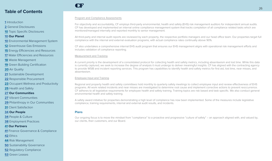#### **[1](#page-1-0)** Introduction

- **[2](#page-2-0)** General Disclosures
- **[10](#page-10-0)** Topic Specific Disclosures

#### **[10](#page-10-0) Our Planet**

- **[10](#page-10-0)** Environmental Management System
- **[12](#page-12-0)** Greenhouse Gas Emissions
- **[15](#page-15-0)** Energy Efficiencies and Resources
- **[17](#page-17-0)** Water Efficiencies and Resources
- **[18](#page-18-0)** Waste Management
- **[19](#page-19-0)** Green Building Certification
- **[20](#page-20-0)** Air Quality
- **[21](#page-21-0)** Sustainable Development
- **[22](#page-22-0)** Responsible Procurement
- **[23](#page-23-0)** Occupant Wellness and Productivity
- **[25](#page-25-0)** Health and Safety
- **[27](#page-27-0) Our Communities**
- **[27](#page-27-0)** Vibrant Communities
- **[29](#page-29-0)** Philanthropy in Our Communities
- **[31](#page-31-0)** Client Satisfaction
- **[34](#page-34-0) Our People**
- **[34](#page-34-0)** People & Culture
- **[38](#page-38-0)** Employment Practices

#### **[41](#page-41-0) Our Partners**

- **[41](#page-41-0)** Finance Governance & Compliance
- **[42](#page-42-0)** Ethics
- **[44](#page-44-0)** Risk Management
- **[50](#page-50-0)** Sustainability Governance
- **[52](#page-52-0)** Regulatory Compliance
- **[53](#page-53-0)** Green Leases

## CF

#### Program and Compliance Assessments

For objectivity and accountability, CF employs third-party environmental, health and safety (EHS) risk management auditors for independent annual audits. CF has developed and implemented an internal online compliance management system that tracks completion of all compliance related tasks which are monitored/managed internally and reported monthly to senior management.

All third-party and internal audit reports are reviewed by each property, the respective portfolio managers and our head office team. Our properties target full compliance with the internal and external evaluation programs, with actual compliance rates continually above 90%.

CF also undertakes a comprehensive internal EHS audit program that ensures our EHS management aligns with operational risk management efforts and includes validation of compliance reporting.

#### Measurement and Tracking

A current priority is the development of a consolidated protocol for collecting health and safety metrics, including absenteeism and lost time. While this data is currently captured, we seek to increase the degree of analysis it must undergo to deliver meaningful insights. CF has aligned with the contracting agency to provide WSIB and incident reporting services. This program has capabilities to identify health and safety metrics for first aid, lost time, near misses, and absenteeism.

#### Employee Input and Training

Regional and property health and safety committees hold monthly to quarterly safety meetings to collect employee input and review effectiveness of EHS programs. All work related incidents and near misses are investigated to determine root cause and implement corrective actions to prevent reoccurrence. CF adheres to all legislative requirements for employee health and safety training. Training topics are risk based and task specific. We also conduct general environmental health and safety training.

A safety award initiative for properties demonstrating a high level of compliance has now been implemented. Some of the measures include legislative compliance, training requirements, internal and external audit results, and incidents.

#### **Plans**

Our ongoing focus is to move the mindset from "compliance" to a proactive and progressive "culture of safety" – an approach aligned with, and valued by, our clients, their customers, and our Board.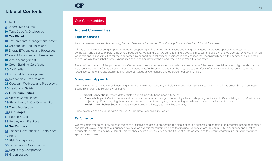#### <span id="page-27-0"></span>**[1](#page-1-0)** Introduction

**[2](#page-2-0)** General Disclosures

**[10](#page-10-0)** Topic Specific Disclosures

#### **[10](#page-10-0) Our Planet**

**[10](#page-10-0)** Environmental Management System

**[12](#page-12-0)** Greenhouse Gas Emissions

**[15](#page-15-0)** Energy Efficiencies and Resources

**[17](#page-17-0)** Water Efficiencies and Resources

**[18](#page-18-0)** Waste Management

**[19](#page-19-0)** Green Building Certification

**[20](#page-20-0)** Air Quality

**[21](#page-21-0)** Sustainable Development

**[22](#page-22-0)** Responsible Procurement

**[23](#page-23-0)** Occupant Wellness and Productivity

**[25](#page-25-0)** Health and Safety

**27 Our Communities**

**27** Vibrant Communities

**[29](#page-29-0)** Philanthropy in Our Communities

**[31](#page-31-0)** Client Satisfaction

**[34](#page-34-0) Our People**

**[34](#page-34-0)** People & Culture

**[38](#page-38-0)** Employment Practices

#### **[41](#page-41-0) Our Partners**

**[41](#page-41-0)** Finance Governance & Compliance

**[42](#page-42-0)** Ethics

**[44](#page-44-0)** Risk Management

**[50](#page-50-0)** Sustainability Governance

**[52](#page-52-0)** Regulatory Compliance

**[53](#page-53-0)** Green Leases

## CF

## **Our Communities**

#### **Vibrant Communities**

#### **Topic importance**

As a purpose-led real estate company, Cadillac Fairview is focused on *Transforming Communities for a Vibrant Tomorrow*.

CF has a rich history of bringing people together, supporting and nurturing communities and doing social good. In creating spaces that foster human connection and a sense of belonging where people live, work and play, we strive to make a positive impact in the cities where we operate. One way in which we invest and reinvest in cities for the long-term is by supporting local citizens, businesses and charities that meaningfully serve the communities and their needs. We aim to enrich the lived experiences of our community members and create a brighter future together.

The continued impact of the pandemic has affected everyone and accelerated our collective awareness of the issue of social isolation. High levels of social isolation were seen in Canadian cities prior to the pandemic. With social isolation on the rise, due to the effects of political and cultural polarization, we recognize our role and opportunity to challenge ourselves as we reshape and operate in our communities.

#### **Management Approach**

We aim to address the above by leveraging internal and external research, and planning and piloting initiatives within three focus areas: Social Connection, Economic Impact and Health & Well-being.

- **•• Social Connection:** Provide differentiated opportunities to bring people together
- **Economic Impact:** Contribute to a solid economic foundation through jobs employed at our shopping centres and office buildings, city infrastructure projects, significant ongoing development projects, philanthropy giving, and creating mixed-use community hubs and tourism
- **• Health & Well-being:** Support a healthy community and lifestyle to work, live and play

Some examples can be found within the 2022 Corporate Responsibility Report.

#### **Performance**

We are committed to not only curating the above initiatives across our properties, but also monitoring success and adapting the programs based on feedback and impact levels. In creating experiences, we develop specific measurement plans that include feedback from the community (e.g. our shoppers, office occupants, clients, community at large). This feedback helps our teams decide the future of pilots, adaptations to current programming, or input into future space development.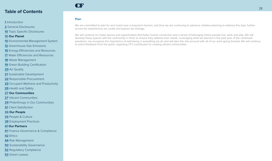Introduction

General Disclosures

Topic Specific Disclosures

#### **Our Planet**

- Environmental Management System
- Greenhouse Gas Emissions

Energy Efficiencies and Resources

Water Efficiencies and Resources

Waste Management

Green Building Certification

Air Quality

Sustainable Development

Responsible Procurement

Occupant Wellness and Productivity

Health and Safety

#### **Our Communities**

Vibrant Communities

Philanthropy in Our Communities

Client Satisfaction

#### **Our People**

People & Culture

Employment Practices

#### **Our Partners**

Finance Governance & Compliance

Ethics

Risk Management

Sustainability Governance

Regulatory Compliance

Green Leases

### **Plan**

**CF** 

We are committed to plan for and invest over a long-term horizon, and thus we are continuing to advance initiative planning to address this topic further across the experiences we curate and spaces we manage.

We will continue to create spaces and opportunities that foster human connection and a sense of belonging where people live, work and play. We will develop these spaces with the community in mind, to ensure they address their needs. Leveraging what we learned in this past year of the continued pandemic, we recognize the importance of well-being in everything we do and will take this into account with all of our work going forward. We will continue to solicit feedback from the public regarding CF's contribution to creating vibrant communities.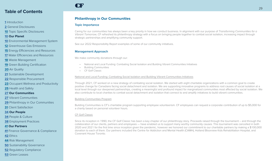- <span id="page-29-0"></span>**[1](#page-1-0)** Introduction
- **[2](#page-2-0)** General Disclosures
- **[10](#page-10-0)** Topic Specific Disclosures
- **[10](#page-10-0) Our Planet**
- **[10](#page-10-0)** Environmental Management System
- **[12](#page-12-0)** Greenhouse Gas Emissions
- **[15](#page-15-0)** Energy Efficiencies and Resources
- **[17](#page-17-0)** Water Efficiencies and Resources
- **[18](#page-18-0)** Waste Management
- **[19](#page-19-0)** Green Building Certification
- **[20](#page-20-0)** Air Quality
- **[21](#page-21-0)** Sustainable Development
- **[22](#page-22-0)** Responsible Procurement
- **[23](#page-23-0)** Occupant Wellness and Productivity
- **[25](#page-25-0)** Health and Safety
- **[27](#page-27-0) Our Communities**
- **[27](#page-27-0)** Vibrant Communities
- **29** Philanthropy in Our Communities
- **[31](#page-31-0)** Client Satisfaction
- **[34](#page-34-0) Our People**
- **[34](#page-34-0)** People & Culture
- **[38](#page-38-0)** Employment Practices

#### **[41](#page-41-0) Our Partners**

- **[41](#page-41-0)** Finance Governance & Compliance
- **[42](#page-42-0)** Ethics
- **[44](#page-44-0)** Risk Management
- **[50](#page-50-0)** Sustainability Governance
- **[52](#page-52-0)** Regulatory Compliance
- **[53](#page-53-0)** Green Leases

### **Philanthropy in Our Communities**

#### **Topic Importance**

CF

Caring for our communities has always been a key priority in how we conduct business. In alignment with our purpose of *Transforming Communities for a Vibrant Tomorrow*, CF refreshed its philanthropy strategy with a focus on bringing people together to combat social isolation, increasing impact through strategic partnerships and amplifying community support.

See our 2022 Responsibility Report examples of some of our community initiatives.

#### **Management Approach**

We make community donations through our:

- National and Local Funding: Combating Social Isolation and Building Vibrant Communities Initiatives
- Building Communities
- CF Golf Classic

#### National and Local Funding: Combating Social Isolation and Building Vibrant Communities Initiatives

Through 2021, CF worked on a new strategy of combating social isolation. We started with eight charitable organizations with a common goal to create positive change for Canadians facing social detachment and isolation. We are supporting innovative programs to address root causes of social isolation at a local level through our deepened partnerships, creating a meaningful and profound impact for marginalized communities most affected by social isolation. We also contribute to local charities to combat social detachment and isolation that connect to and amplify initiatives to build vibrant communities.

#### Building Communities Program

Building Communities is CF's charitable program supporting employee volunteerism. CF employees can request a corporate contribution of up to \$5,000 for a charity based on personal volunteer hours.

#### CF Golf Classic

Since its inception in 1990, the CF Golf Classic has been a key chapter of our philanthropy story. Proceeds raised through the tournament – and through the collaboration of our clients, partners and employees — have enabled us to support many worthy community causes. This tournament was cancelled in both 2020 and 2021 for the first time since inception given the pandemic, however we honored our commitment to our charitable partners by making a \$100,000 donation to each of them. Our partners included the Centre for Addiction and Mental Health (CAMH), Holland Bloorview Kids Rehabilitation Hospital, and Covenant House Toronto.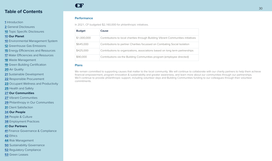#### Introduction

General Disclosures

Topic Specific Disclosures

#### **Our Planet**

Environmental Management System

Greenhouse Gas Emissions

Energy Efficiencies and Resources

Water Efficiencies and Resources

Waste Management

Green Building Certification

Air Quality

Sustainable Development

Responsible Procurement

Occupant Wellness and Productivity

Health and Safety

**Our Communities**

Vibrant Communities

Philanthropy in Our Communities

Client Satisfaction

#### **Our People**

People & Culture

Employment Practices

#### **Our Partners**

Finance Governance & Compliance

Ethics

Risk Management

Sustainability Governance

Regulatory Compliance

Green Leases

## **CF**

#### **Performance**

In 2021, CF budgeted \$2,160,000 for philanthropic initiatives.

| <b>Budget</b> | Cause                                                                             |
|---------------|-----------------------------------------------------------------------------------|
| \$1,000,000   | Contributions to local charities through Building Vibrant Communities initiatives |
| \$645,000     | Contributions to partner Charities focussed on Combating Social Isolation         |
| \$425,000     | Contributions to organizations, associations based on long term partnerships      |
| \$90,000      | Contributions via the Building Communities program (employee directed)            |

#### **Plans**

We remain committed to supporting causes that matter to the local community. We will continue to collaborate with our charity partners to help them achieve financial empowerment, program innovation & sustainability and greater awareness, and learn more about our communities through our partnerships. We'll continue to provide philanthropic support, including volunteer days and Building Communities funding to our colleagues through their volunteer commitments.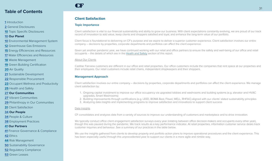#### <span id="page-31-0"></span>**[1](#page-1-0)** Introduction

**[2](#page-2-0)** General Disclosures

**[10](#page-10-0)** Topic Specific Disclosures

#### **[10](#page-10-0) Our Planet**

- **[10](#page-10-0)** Environmental Management System
- **[12](#page-12-0)** Greenhouse Gas Emissions

**[15](#page-15-0)** Energy Efficiencies and Resources

**[17](#page-17-0)** Water Efficiencies and Resources

**[18](#page-18-0)** Waste Management

**[19](#page-19-0)** Green Building Certification

**[20](#page-20-0)** Air Quality

**[21](#page-21-0)** Sustainable Development

**[22](#page-22-0)** Responsible Procurement

**[23](#page-23-0)** Occupant Wellness and Productivity

**[25](#page-25-0)** Health and Safety

**[27](#page-27-0) Our Communities**

**[27](#page-27-0)** Vibrant Communities

**[29](#page-29-0)** Philanthropy in Our Communities

**31** Client Satisfaction

**[34](#page-34-0) Our People**

**[34](#page-34-0)** People & Culture

**[38](#page-38-0)** Employment Practices

#### **[41](#page-41-0) Our Partners**

**[41](#page-41-0)** Finance Governance & Compliance

**[42](#page-42-0)** Ethics

**[44](#page-44-0)** Risk Management

**[50](#page-50-0)** Sustainability Governance

**[52](#page-52-0)** Regulatory Compliance

**[53](#page-53-0)** Green Leases

## CF

#### **Client Satisfaction**

#### **Topic Importance**

Client satisfaction is vital to our financial sustainability and ability to grow our business. With client expectations constantly evolving, we are proud of our track record of innovation to add value, keep clients and shoppers satisfied and loyal, and enhance the long-term value of our portfolio.

Client focus is foundational to delivering on CF's purpose and we aspire to deliver a superior customer experience. Client satisfaction involves our entire company – decisions by properties, corporate departments and portfolios can affect the client experience.

Given yet another pandemic year, we have continued working with our retail and office partners to ensure the safety and well-being of our office and retail occupants – the details of which are in the [Health and Safety](#page-25-0) section of this report.

#### About Our Clients

Cadillac Fairview customers are different in our office and retail properties. Our office customers include the companies that rent space at our properties and their employees. Our retail customers include retail chains, independent shopkeepers and their shoppers.

#### **Management Approach**

Client satisfaction involves our entire company – decisions by properties, corporate departments and portfolios can affect the client experience. We manage client satisfaction by:

- 1. Ongoing capital investment to improve our office occupancy via upgraded lobbies and washrooms and building systems (e.g. elevator and HVAC upgrades, Smart Washrooms)
- 2. Building improvements through certifications (e.g. LEED, BOMA Best, Fitwel, WELL, RHFAC) aligned with our clients' stated sustainability principles
- 3. Analyzing data insights and implementing programs to improve satisfaction and innovations to support client success

#### Data Insights

CF consolidates and analyzes data from a variety of sources to improve our understanding of customers and marketplace and to drive innovation.

We typically conduct office client engagement satisfaction surveys every year (rotating between office decision-makers and occupants every other year), though this was paused during the pandemic. We track results as a key performance indicator. At retail properties, information customer service desks track customer inquiries and behaviour. See a summary of our practices in the table below.

We use the insights gathered from clients to develop property and portfolio action plans to improve operational procedures and the client experience. This has been especially useful through this unprecedented year to support our clients in a more agile and nimble way.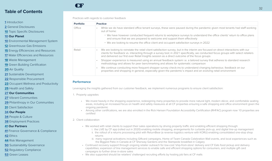#### **[1](#page-1-0)** Introduction

**[2](#page-2-0)** General Disclosures

**[10](#page-10-0)** Topic Specific Disclosures

#### **[10](#page-10-0) Our Planet**

**[10](#page-10-0)** Environmental Management System

**[12](#page-12-0)** Greenhouse Gas Emissions

**[15](#page-15-0)** Energy Efficiencies and Resources

**[17](#page-17-0)** Water Efficiencies and Resources

**[18](#page-18-0)** Waste Management

**[19](#page-19-0)** Green Building Certification

**[20](#page-20-0)** Air Quality

**[21](#page-21-0)** Sustainable Development

**[22](#page-22-0)** Responsible Procurement

**[23](#page-23-0)** Occupant Wellness and Productivity

**[25](#page-25-0)** Health and Safety

**[27](#page-27-0) Our Communities**

**[27](#page-27-0)** Vibrant Communities

**[29](#page-29-0)** Philanthropy in Our Communities

**[31](#page-31-0)** Client Satisfaction

**[34](#page-34-0) Our People**

**[34](#page-34-0)** People & Culture

**[38](#page-38-0)** Employment Practices

#### **[41](#page-41-0) Our Partners**

**[41](#page-41-0)** Finance Governance & Compliance

**[42](#page-42-0)** Ethics

**[44](#page-44-0)** Risk Management

**[50](#page-50-0)** Sustainability Governance

**[52](#page-52-0)** Regulatory Compliance

**[53](#page-53-0)** Green Leases



Practices with regards to customer feedback

| <b>Practice</b>                                                                                                                                                                                                                                                                                                                                                                     |
|-------------------------------------------------------------------------------------------------------------------------------------------------------------------------------------------------------------------------------------------------------------------------------------------------------------------------------------------------------------------------------------|
| While we do have standard office tenant surveys, these were paused during the pandemic given most tenants had staff working<br>$\bullet$<br>out of home:                                                                                                                                                                                                                            |
| . We have however conducted frequent returns to workplace surveys to understand the office clients' return to office plans<br>and ensure that we are prepared to welcome and support them effectively                                                                                                                                                                               |
| • We are looking to resume the office client and occupant satisfaction surveys in 2022                                                                                                                                                                                                                                                                                              |
| We are looking to reinstate the retail client satisfaction survey, but in the interim are focused on direct interactions with our<br>$\bullet$<br>clients for feedback vs. interacting through a survey tool; in 2021 specifically, we conducted focus groups with select retailers<br>and delivered our first ever Retail Insights session as a direct outcome of the focus groups |
| Shopper experience is measured using an annual feedback system i.e. a tailored survey that adheres to standard research<br>methodology and allows for peer benchmarking and allows for systematic comparison                                                                                                                                                                        |
| We continue conducting more frequent shopper survey check-ins to understand changing behaviour, feedback on our<br>$\bullet$<br>properties and shopping in general, especially given the pandemic's impact and an evolving retail environment                                                                                                                                       |
|                                                                                                                                                                                                                                                                                                                                                                                     |

#### **Performance**

Leveraging the insights gathered from our customer feedback, we implement numerous programs to ensure client satisfaction:

1. Property upgrades

- We invest heavily in the shopping experience, redesigning many properties to provide more natural light, modern décor, and comfortable seating areas, including an increased focus on health and safety measures at all CF properties ensuring a safe shopping and office environment given the ongoing pandemic
- Among other certifications, we are also enrolled in the Rick Hansen Foundation Accessibility Certification (RHFAC) program now 10 properties are certified

#### 2. Client collaboration

- We worked with retail clients to support their sales operations by driving property traffic and enabling efficient shopping through: i. the LiVE by CF app (rolled out in 2020) enabling mobile shopping, arrangements for curbside pick-up, and digital line-up management ii. the rollout of a returns processing pilot with ReturnBear (a reverse-logistics venture with KORU) enabling consolidated one-stop shop
	- returns
	- iii. many regional activations including Giftcard campaigns, Home of Team Canada Celebration Wall events, and local experiences such as the Biggest Patio in Canada at CF Sherway Gardens and the Stampede breakfast in Calgary
- Continued recovery support through ongoing retailer outreach for low-cost 'ship-from-store' delivery and CF Eats food pickup and delivery capabilities; expansion of line management services to enable safe and efficient shopping options for consumers, and multiple gift card campaigns to further drive in-store sales
- We also supported should be retailers' challenged recruiting efforts by hosting job fairs at CF malls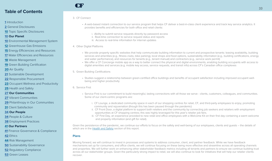- **[1](#page-1-0)** Introduction
- **[2](#page-2-0)** General Disclosures
- **[10](#page-10-0)** Topic Specific Disclosures
- **[10](#page-10-0) Our Planet**
- **[10](#page-10-0)** Environmental Management System
- **[12](#page-12-0)** Greenhouse Gas Emissions
- **[15](#page-15-0)** Energy Efficiencies and Resources
- **[17](#page-17-0)** Water Efficiencies and Resources
- **[18](#page-18-0)** Waste Management
- **[19](#page-19-0)** Green Building Certification
- **[20](#page-20-0)** Air Quality
- **[21](#page-21-0)** Sustainable Development
- **[22](#page-22-0)** Responsible Procurement
- **[23](#page-23-0)** Occupant Wellness and Productivity
- **[25](#page-25-0)** Health and Safety
- **[27](#page-27-0) Our Communities**
- **[27](#page-27-0)** Vibrant Communities
- **[29](#page-29-0)** Philanthropy in Our Communities
- **[31](#page-31-0)** Client Satisfaction
- **[34](#page-34-0) Our People**
- **[34](#page-34-0)** People & Culture
- **[38](#page-38-0)** Employment Practices
- **[41](#page-41-0) Our Partners**
- **[41](#page-41-0)** Finance Governance & Compliance
- **[42](#page-42-0)** Ethics
- **[44](#page-44-0)** Risk Management
- **[50](#page-50-0)** Sustainability Governance
- **[52](#page-52-0)** Regulatory Compliance
- **[53](#page-53-0)** Green Leases

#### 3. CF Connect

CF

- A web-based instant connection to our service program that helps CF deliver a best-in-class client experience and track key service analytics. It provides benefits and efficiencies for both office and retail clients:
	- i. Ability to submit service requests directly by password access
	- ii. Real-time connection to service request status and reports
	- iii. Access to real-time information for internal updates
- 4. Other Digital Platforms
	- We provide property specific websites that help communicate building information to current and prospective tenants: leasing availability, building services and amenities (e.g., fitness clubs, bike parking), local shops and food options, sustainability information (e.g., building certifications, energy and water performance), and resources for tenants (e.g., tenant manual) and contractors (e.g., service work permit)
	- We offer a CF Concierge mobile app as a way to better connect the physical and digital environments, enabling building occupants with access to digital amenities and services (e.g. mobile key access, service requests, and transit info) across CF's Canadian office complexes
- 5. Green Building Certifications
	- Studies suggest a relationship between green-certified office buildings and benefits of occupant satisfaction including improved occupant wellbeing and higher productivity
- 6. Service First
	- Service First is our commitment to build meaningful, lasting connections with all those we serve clients, customers, colleagues, and communities. Some of our client-centric programs are:
		- i. CF Lounge, a dedicated community space in each of our shopping centres for retail, CF, and third-party employees to enjoy, promoting community and rejuvenation (though this has been paused through the pandemic)
		- ii. CF Front Door, a digital platform to support both retailers and the community by connecting job seekers and retailers with employment opportunities at CF shopping centres; this was highly leveraged for this year's retailer job fairs.
		- iii. CF First Day, an experience provided to new retail and office employees with a Welcome Kit on their first day containing a warm welcome and property information (and gift for retail).

Given the persistence of the pandemic, we continue our efforts to focus on the safety and well-being of our employees, clients and guests – the details of which are in the [Health and Safety](#page-25-0) section of this report.

#### **Plans**

Moving forward, we will continue to invest in processes and systems to address consumer, client, and partner feedback. While we have feedback mechanisms set up for consumers, and office clients, we will continue focusing on these being more effective and streamline across all operating channels and properties. We will further work on enhancing other stakeholder feedback metrics including all tenants and partners to ensure we continue building trust across all our stakeholder groups. Given the particularly strong impact to retail, we will also continue to look for initiatives that will help our retailer clients recover.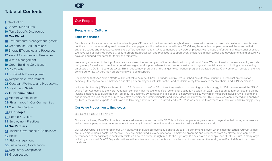#### <span id="page-34-0"></span>**[1](#page-1-0)** Introduction

**[2](#page-2-0)** General Disclosures

**[10](#page-10-0)** Topic Specific Disclosures

#### **[10](#page-10-0) Our Planet**

**[10](#page-10-0)** Environmental Management System

**[12](#page-12-0)** Greenhouse Gas Emissions

**[15](#page-15-0)** Energy Efficiencies and Resources

**[17](#page-17-0)** Water Efficiencies and Resources

**[18](#page-18-0)** Waste Management

**[19](#page-19-0)** Green Building Certification

**[20](#page-20-0)** Air Quality

**[21](#page-21-0)** Sustainable Development

**[22](#page-22-0)** Responsible Procurement

**[23](#page-23-0)** Occupant Wellness and Productivity

**[25](#page-25-0)** Health and Safety

**[27](#page-27-0) Our Communities**

**[27](#page-27-0)** Vibrant Communities

**[29](#page-29-0)** Philanthropy in Our Communities

**[31](#page-31-0)** Client Satisfaction

**34 Our People**

**34** People & Culture

**[38](#page-38-0)** Employment Practices

#### **[41](#page-41-0) Our Partners**

**[41](#page-41-0)** Finance Governance & Compliance

**[42](#page-42-0)** Ethics

**[44](#page-44-0)** Risk Management

**[50](#page-50-0)** Sustainability Governance

**[52](#page-52-0)** Regulatory Compliance

**[53](#page-53-0)** Green Leases

## CF

## **Our People**

#### **People and Culture**

#### **Topic Importance**

People and culture are our competitive advantage at CF; we continue to operate in a hybrid environment with teams that are both onsite and remote. We continue to nurture a working environment that is engaging and inclusive. Anchored in our CF Values, this enables our people to feel they can be their authentic selves and empowered to make a difference that matters. CF is comprised of diverse employees with unique professional and personal priorities. We have well-established people & culture programs, processes, and practices to support every employee in their career and development, and ensure we have an engaged workforce for today and tomorrow.

Well-being continued to be top of mind as we entered the second year of the pandemic with a hybrid workforce. We continued to measure employee wellbeing every 8 weeks and provide targeted messaging and support where it was needed most – be it physical, mental or social, including an unwavering emphasis on COVID-19 safe practices. This included new programs and changes to our benefit programs as listed below. Our workforce, remote and onsite, continued to rate CF very high on providing well-being support.

Recognizing that vaccination efforts will be critical to help get COVID-19 under control, we launched an extensive, multilingual vaccination education campaign to empower our employees and 3rd party employees with information and paid time away from work to receive their COVID-19 vaccination.

Inclusion & diversity (I&D) is anchored in our CF Values and the OneCF culture, thus enabling our exciting growth strategy. In 2021, we received the "Elite" award from Achievers as the North American company that most exemplifies "belonging, equity & inclusion". In 2021, we sought to further raise the bar by inviting employees to guide the next leg of our I&D journey by participating in a special employee voice survey which measured inclusion, well-being and engagement through the lens of CF's collective diversity and intersectionality and invite ideas for improvement. This survey was administered and analyzed by Korn Ferry (global experts in Inclusion and Diversity); next steps will be introduced in 2022 as we continue to advance our Inclusion and Diversity journey.

#### **Our Value Proposition to Employees**

#### Our OneCF Culture & CF Values

Our award winning OneCF culture is experienced in every interaction with CF. This includes people who go above and beyond in their work, who seek and welcome new perspectives, who engage with empathy in every interaction, and who want to make a difference and do.

Our OneCF Culture is anchored in our CF Values, which guide our everyday behaviours to drive performance, even when times get tough. Our CF Values are much more than a poster on the wall. They are embedded in every facet of our employee programs and processes (from employee development to performance to recognition) to positively reinforce how to deliver the right results, the right way. We celebrate our people and OneCF culture in many ways, including our annual OneCF Day celebrations with our teams at our properties, across the country and around the world, even if a bit different than prepandemic.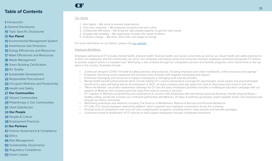#### **[1](#page-1-0)** Introduction

- **[2](#page-2-0)** General Disclosures
- **[10](#page-10-0)** Topic Specific Disclosures

#### **[10](#page-10-0) Our Planet**

- **[10](#page-10-0)** Environmental Management System
- **[12](#page-12-0)** Greenhouse Gas Emissions
- **[15](#page-15-0)** Energy Efficiencies and Resources
- **[17](#page-17-0)** Water Efficiencies and Resources
- **[18](#page-18-0)** Waste Management
- **[19](#page-19-0)** Green Building Certification
- **[20](#page-20-0)** Air Quality
- **[21](#page-21-0)** Sustainable Development
- **[22](#page-22-0)** Responsible Procurement
- **[23](#page-23-0)** Occupant Wellness and Productivity
- **[25](#page-25-0)** Health and Safety
- **[27](#page-27-0) Our Communities**
- **[27](#page-27-0)** Vibrant Communities
- **[29](#page-29-0)** Philanthropy in Our Communities
- **[31](#page-31-0)** Client Satisfaction

#### **[34](#page-34-0) Our People**

- **[34](#page-34-0)** People & Culture
- **[38](#page-38-0)** Employment Practices

#### **[41](#page-41-0) Our Partners**

- **[41](#page-41-0)** Finance Governance & Compliance
- **[42](#page-42-0)** Ethics
- **[44](#page-44-0)** Risk Management
- **[50](#page-50-0)** Sustainability Governance
- **[52](#page-52-0)** Regulatory Compliance
- **[53](#page-53-0)** Green Leases

#### Our Values

CF

- 1. Aim higher We strive to exceed expectations
- 2. Own your expertise We empower ourselves and each other
- 3. Collaborate effectively We bring the right people together to get the right results
- 4. Engage with empathy We objectively consider the needs of others
- 5. Embrace change We drive, learn from, and adapt to change

For more information on our Values, please visit [our website](https://www.cadillacfairview.com/).

#### Employee Well-Being

Employee well-being at CF includes mental health, physical health, financial health, and social connectivity as well as our robust health and safety practices to protect our employees and the communities we serve. Our employee well-being survey and scorecard monitors employee sentiment and guides CF actions to provide support where it is needed most. Well-being is also enabled through our competitive pension and benefits programs, which benchmark to the top plans in the country. Examples include:

- Continued stringent COVID-19 health & safety practices and protocols, including employee and visitor handbooks, online resources and signage
- Employee well-being survey deployed and actioned every 8 weeks with targeted messaging and support
- Enhanced messaging and resources to support employees in managing work and life priorities
- Mental health benefit enhancements which include tripling CF's current paramedical coverage for psychologist, social worker and psychotherapist benefit and a paid well-being day for all employees in 2021, an extra company paid day away from work to disconnect and invest in self care
- "Move the Needle" vaccination awareness campaign for CF and 3rd party employees (activities included a multilingual education campaign with our partners at MedCan and company paid time away from work to receive a vaccine)
- CF Together in Wellness programming and experiences to connect with employees with well-being resources (financial, mental, physical fitness / healthy eating, social); this includes our continued partnership with Medcan, 25 days of wellness giveaways, expert speaker series, and employee tips through our online community
- Well-being workshops and webinars including The Science of Mindfulness, Balance & Burnout and Personal Resilience
- CF Café, CF's virtual employee networking platform, which supports new employee connections across the company
- A broad array of competitive cash and non-cash compensation programs, including best-in-class pension and benefits packages
- Continued review & modification of CF policies to best support employees through contributed restrictions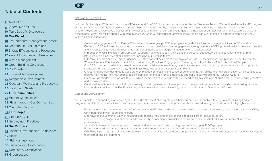#### **[1](#page-1-0)** Introduction

**[2](#page-2-0)** General Disclosures

**[10](#page-10-0)** Topic Specific Disclosures

#### **[10](#page-10-0) Our Planet**

- **[10](#page-10-0)** Environmental Management System
- **[12](#page-12-0)** Greenhouse Gas Emissions
- **[15](#page-15-0)** Energy Efficiencies and Resources
- **[17](#page-17-0)** Water Efficiencies and Resources

**[18](#page-18-0)** Waste Management

**[19](#page-19-0)** Green Building Certification

**[20](#page-20-0)** Air Quality

**[21](#page-21-0)** Sustainable Development

**[22](#page-22-0)** Responsible Procurement

**[23](#page-23-0)** Occupant Wellness and Productivity

**[25](#page-25-0)** Health and Safety

#### **[27](#page-27-0) Our Communities**

**[27](#page-27-0)** Vibrant Communities

**[29](#page-29-0)** Philanthropy in Our Communities

**[31](#page-31-0)** Client Satisfaction

**[34](#page-34-0) Our People**

**[34](#page-34-0)** People & Culture

**[38](#page-38-0)** Employment Practices

#### **[41](#page-41-0) Our Partners**

**[41](#page-41-0)** Finance Governance & Compliance

**[42](#page-42-0)** Ethics

**[44](#page-44-0)** Risk Management

**[50](#page-50-0)** Sustainability Governance

**[52](#page-52-0)** Regulatory Compliance

**[53](#page-53-0)** Green Leases

#### Inclusion & Diversity (I&D)

CF

Inclusion & diversity at CF is anchored in our CF Values and OneCF Culture, and is championed by our Executive Team. We continued to make I&D progress across many areas in 2021, as we worked through challenges introduced by the pandemic and other global events. In addition, through a company wide employee survey, we have established a new baseline and external benchmarks to quide the next leg or our I&D journey and measure progress in a meaningful way. This will be shared with employees in 2022 as CF continues to advance initiatives on our I&D roadmap to further reinforce our OneCF Culture as an inclusive one.

- Continued engagement of our People Pillar team, a diverse group of CF employees to guide initiatives and change activities on CF's roadmap
- Delivery of CF Employee Voice survey to measure inclusion, well-being and engagement through the lens of CF's professional and personal diversity and intersectionality (achieved record high employee participation, 20 points above external best practices)
- Introduction of CF's Flexible Work approach, to support all employees in their work and personal priorities, within the constraints of their role (structured to be inclusive of all employees, including our frontline teams)
- Extensive inclusion and diversity curriculum & curated content available to all employees including Unconscious Bias, Managing Your Mindset for Women Leaders, Effective Candor at CF, Inclusive Hiring Practices, Engaging with Empathy, and How to be an Ally for Racialized People
- OneCF Connections series that seeks to educate and build awareness through webinars, workshops and sharing online resources with topics that included International Women's Day, Pride, Black History Month and Mental Health Month
- Onboarding program designed to accelerate employee connections and sense of belonging as they adjust to a new organization which continues to receive high marks from new employees (including an orientation for all employees and our 3rd party teams to our OneCF Culture)
- Executive job shadowing program, through which members of our Executive Team spend half a day with one of our frontline teams to build empathy and remove barriers
- Continued recruitment pilots including inclusive job postings, new recruitment pools and new tools to reduce bias in the decision-making process
- Independent certification as Pay Equity compliant across all job levels, including recent recertification in Quebec and Ontario

#### Career and Development

CF is committed to supporting every employee in their development at every stage of their career, which is enabled through our CF Building Leaders programs and talent processes. Given the continued pandemic environment, these processes have pivoted to a hybrid environment. Highlights include:

- Robust annual calendar offering over 40 Workshops and CF Values Labs (also made available to teams on demand), created and curated for CF by CF in partnership with leadership experts
- Extensive online Learning Hub with resources on demand including online courses, toolkits, career resources, library
- OneCF Coaching program to enhance leader capability in coaching individual and teams on behaviours that will have the greatest impact on performance
- Annual tuition reimbursement program to support all employees in their ongoing development, up to \$2500 per year
- Robust annual talent sessions to review, discuss and resource individual career and development plans and priorities
- CF's Early Talent program recruits and onboards recent university graduates and supports them in acquiring new experiences and skills to accelerate their career and development.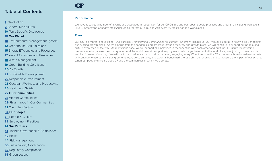#### Introduction

General Disclosures

Topic Specific Disclosures

#### **Our Planet**

- Environmental Management System
- Greenhouse Gas Emissions

Energy Efficiencies and Resources

Water Efficiencies and Resources

Waste Management

Green Building Certification

Air Quality

- Sustainable Development
- Responsible Procurement
- Occupant Wellness and Productivity

Health and Safety

#### **Our Communities**

Vibrant Communities

Philanthropy in Our Communities

Client Satisfaction

#### **Our People**

People & Culture

Employment Practices

#### **Our Partners**

Finance Governance & Compliance

Ethics

Risk Management

Sustainability Governance

Regulatory Compliance

Green Leases

## CF

#### **Performance**

We have received a number of awards and accolades in recognition for our CF Culture and our robust people practices and programs including, Achiever's Elite 8, Waterstone Canada's Most Admired Corporate Culture, and Achievers 50 Most Engaged Workplaces.

#### **Plans**

Our future is vibrant and exciting. Our purpose, *Transforming Communities for Vibrant Tomorrow*, inspires us. Our Values guide us in how we deliver against our exciting growth plans. As we emerge from the pandemic and progress through recovery and growth plans, we will continue to support our people and culture every step of the way. As restrictions ease, we will support all employees in reconnecting with each other and our OneCF Culture, be it within a property location, across the country or around the world. We will support employees who have yet to return to the workplace, in adjusting to new flexible and hybrid ways of working. We will continue to advance our inclusion roadmap, engaging every CF'er to ensure the CF experience is an inclusive one. We will continue to use data, including our employee voice surveys, and external benchmarks to establish our priorities and to measure the impact of our actions. When our people thrive, so does CF and the communities in which we operate.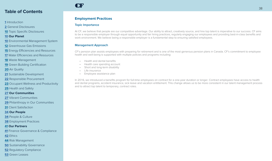#### <span id="page-38-0"></span>Introduction

General Disclosures

Topic Specific Disclosures

#### **Our Planet**

- Environmental Management System
- Greenhouse Gas Emissions
- Energy Efficiencies and Resources

Water Efficiencies and Resources

- Waste Management
- Green Building Certification
- Air Quality
- Sustainable Development
- Responsible Procurement
- Occupant Wellness and Productivity
- Health and Safety

#### **Our Communities**

- Vibrant Communities
- Philanthropy in Our Communities
- Client Satisfaction

#### **Our People**

- People & Culture
- Employment Practices

#### **Our Partners**

- Finance Governance & Compliance
- Ethics
- Risk Management
- Sustainability Governance
- Regulatory Compliance
- Green Leases

# CF

#### **Employment Practices**

#### **Topic Importance**

At CF, we believe that people are our competitive advantage. Our ability to attract, creatively source, and hire top talent is imperative to our success. CF aims to be a responsible employer through equal opportunity and fair hiring practices, regularly engaging our employees and providing best-in-class benefits and work environment. We believe being a responsible employer is a fundamental step to ensuring satisfied employees.

#### **Management Approach**

CF's pension plan assists employees with preparing for retirement and is one of the most generous pension plans in Canada. CF's commitment to employee health and well-being is supported with multiple policies and programs including:

- Health and dental benefits
- Health care spending account
- Short and long-term disability
- Life insurance
- Employee assistance plan

In 2016, we introduced a benefits program for full-time employees on contract for a one-year duration or longer. Contract employees have access to health and dental programs, accident insurance, sick leave and vacation entitlement. This change allows us to be more consistent in our talent management process and to attract top talent to temporary, contract roles.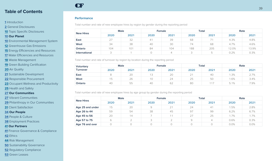#### **[1](#page-1-0)** Introduction

**[2](#page-2-0)** General Disclosures

**[10](#page-10-0)** Topic Specific Disclosures

#### **[10](#page-10-0) Our Planet**

**[10](#page-10-0)** Environmental Management System

**[12](#page-12-0)** Greenhouse Gas Emissions

**[15](#page-15-0)** Energy Efficiencies and Resources

**[17](#page-17-0)** Water Efficiencies and Resources

**[18](#page-18-0)** Waste Management

**[19](#page-19-0)** Green Building Certification

**[20](#page-20-0)** Air Quality

**[21](#page-21-0)** Sustainable Development

**[22](#page-22-0)** Responsible Procurement

**[23](#page-23-0)** Occupant Wellness and Productivity

**[25](#page-25-0)** Health and Safety

**[27](#page-27-0) Our Communities**

**[27](#page-27-0)** Vibrant Communities

**[29](#page-29-0)** Philanthropy in Our Communities

**[31](#page-31-0)** Client Satisfaction

**[34](#page-34-0) Our People**

**[34](#page-34-0)** People & Culture

**[38](#page-38-0)** Employment Practices

**[41](#page-41-0) Our Partners**

**[41](#page-41-0)** Finance Governance & Compliance

**[42](#page-42-0)** Ethics

**[44](#page-44-0)** Risk Management

**[50](#page-50-0)** Sustainability Governance

**[52](#page-52-0)** Regulatory Compliance

**[53](#page-53-0)** Green Leases

Total number and rate of new employee hires by region by gender during the reporting period

**Performance**

CF

|                  | <b>Male</b>        |              | Female              |      | <b>Total</b> |                          | Rate  |       |
|------------------|--------------------|--------------|---------------------|------|--------------|--------------------------|-------|-------|
| <b>New Hires</b> | 2020               | 2021         | 2020                | 2021 | 2020         | 2021                     | 2020  | 2021  |
| East             | $\cap$<br>$\angle$ | $\cap$<br>32 | $\overline{A}$<br>4 | 39   | 68           |                          | 4.3%  | 4.8%  |
| West             | 34                 | 38           | 40                  | 30   | 74           | 68                       | 4.7%  | 4.6%  |
| <b>Ontario</b>   | 104                | 101          | 84                  | 104  | 188          | 205                      | 12.0% | 13.9% |
| International    |                    |              |                     | 4    |              | $\overline{a}$<br>$\sim$ | 0.2%  | 0.3%  |

Total number and rate of turnover by region by location during the reporting period

| <b>Voluntary</b> | <b>Male</b> |            | <b>Female</b>                   |      | <b>Total</b>  |      | Rate |      |
|------------------|-------------|------------|---------------------------------|------|---------------|------|------|------|
| <b>Turnover</b>  | 2020        | 2021       | 2020                            | 2021 | 2020          | 2021 | 2020 | 2021 |
| East             |             | 20         | $\overline{\phantom{0}}$<br>ت ا | 20   | $\cap$ .<br>∠ | 40   | 1.3% | 2.7% |
| West             | l b         | 26         | 1 C                             | 24   | 25            | 50   | 1.6% | 3.4% |
| <b>Ontario</b>   | 40          | $ -$<br>ხხ | 40                              | 62   | 80            |      | 5.1% | 7.9% |

Total number and rate of new employee hires by age group by gender during the reporting period

|                  | <b>Male</b> |      | <b>Female</b> |             | <b>Total</b> |      | Rate |      |
|------------------|-------------|------|---------------|-------------|--------------|------|------|------|
| <b>New Hires</b> | 2020        | 2021 | 2020          | 2021        | 2020         | 2021 | 2020 | 2021 |
| Age 25 and under | 15          | 20   | Q             | $\bigcap$ 1 | 24           | 41   | .5%  | 2.8% |
| Age 26 to 44     | 59          | 54   | 38            | 45          | 97           | 99   | 6.2% | 6.7% |
| Age 45 to 56     | 20          | 14   |               |             | 27           | 25   | .7%  | .7%  |
| Age 57 to 75     | 6           |      | $\supseteq$   |             | Q            | 4    | 0.6% | 0.3% |
| Age 76 and over  |             |      |               |             |              |      | 0.0% | 0.0% |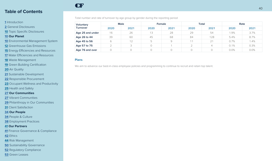#### Introduction

General Disclosures

Topic Specific Disclosures

#### **Our Planet**

Environmental Management System

Greenhouse Gas Emissions

Energy Efficiencies and Resources

Water Efficiencies and Resources

Waste Management

Green Building Certification

Air Quality

Sustainable Development

Responsible Procurement

Occupant Wellness and Productivity

Health and Safety

**Our Communities**

Vibrant Communities

Philanthropy in Our Communities

Client Satisfaction

#### **Our People**

People & Culture

Employment Practices

#### **Our Partners**

Finance Governance & Compliance

Ethics

Risk Management

Sustainability Governance

Regulatory Compliance

Green Leases

Total number and rate of turnover by age group by gender during the reporting period

| Voluntary        | <b>Male</b> |      | Female |      | <b>Total</b> |                | Rate |        |
|------------------|-------------|------|--------|------|--------------|----------------|------|--------|
| <b>Turnover</b>  | 2020        | 2021 | 2020   | 2021 | 2020         | 2021           | 2020 | 2021   |
| Age 25 and under | 16          | 26   | 13     | 28   | 29           | 54             | 1.9% | 3.7%   |
| Age 26 to 44     | 39          | 60   | 45     | 68   | 84           | 128            | 5.4% | 8.7%   |
| Age 45 to 56     | 6           | 12   | b.     | 9    |              | 21             | 0.7% | $.4\%$ |
| Age 57 to 75     |             |      |        |      |              | $\overline{4}$ | 0.1% | 0.3%   |
| Age 76 and over  |             |      |        |      |              |                | 0.0% | 0.0%   |

#### **Plans**

CF

We aim to advance our best-in-class employee policies and programming to continue to recruit and retain top talent.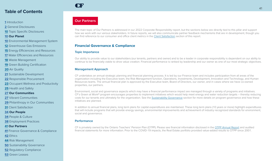#### <span id="page-41-0"></span>**[1](#page-1-0)** Introduction

**[2](#page-2-0)** General Disclosures

**[10](#page-10-0)** Topic Specific Disclosures

#### **[10](#page-10-0) Our Planet**

- **[10](#page-10-0)** Environmental Management System
- **[12](#page-12-0)** Greenhouse Gas Emissions
- **[15](#page-15-0)** Energy Efficiencies and Resources
- **[17](#page-17-0)** Water Efficiencies and Resources

**[18](#page-18-0)** Waste Management

**[19](#page-19-0)** Green Building Certification

**[20](#page-20-0)** Air Quality

**[21](#page-21-0)** Sustainable Development

**[22](#page-22-0)** Responsible Procurement

**[23](#page-23-0)** Occupant Wellness and Productivity

**[25](#page-25-0)** Health and Safety

**[27](#page-27-0) Our Communities**

**[27](#page-27-0)** Vibrant Communities

**[29](#page-29-0)** Philanthropy in Our Communities

**[31](#page-31-0)** Client Satisfaction

**[34](#page-34-0) Our People**

**[34](#page-34-0)** People & Culture

**[38](#page-38-0)** Employment Practices

#### **41 Our Partners**

**41** Finance Governance & Compliance

**[42](#page-42-0)** Ethics

**[44](#page-44-0)** Risk Management

**[50](#page-50-0)** Sustainability Governance

**[52](#page-52-0)** Regulatory Compliance

**[53](#page-53-0)** Green Leases

## CF

#### **Our Partners**

The main topic of Our Partners is addressed in our 2022 Corporate Responsibility report, but the sections below are directly tied to this pillar and support how we work with our various stakeholders. In future reports, we will also communicate partner feedback mechanisms that are in development, though you can find reference to our consumer and office client metrics in the [Client Satisfaction](#page-31-0) section of this report.

#### **Financial Governance & Compliance**

#### **Topic Importance**

Our ability to provide value to our stakeholders (our tenants, partners and owner) and to be a leader in corporate responsibility is dependent on our ability to continue to be financially viable to drive value creation. Financial performance is ranked by leadership and our owner as one of our most strategic objectives.

#### **Management Approach**

CF undertakes an annual strategic planning and financial planning process. It is led by our Finance team and includes participation from all areas of the organization including the Executive team, the Risk Management function, Operations, Investments, Development, Innovation and Technology, and Human Resources teams. The annual financial plan is approved by the Executive team, Board of Directors, our owner, and in cases where we have co-owned properties, our partners.

Environment, social and governance aspects which may have a financial performance impact are managed through a variety of programs and initiatives. CF's Green at Work<sup>®</sup> program encourages properties to implement initiatives which would help meet energy and water reduction targets – thereby reducing costs for our tenants and ultimately for the organization. See the [Sustainability Governance](#page-50-0) section for more details on program governance and how these initiatives are planned.

In addition to annual financial plans, long term plans for capital expenditures are maintained. These long term plans (10 years or more) highlight expenditures that will include programs that will provide energy savings, environmental improvements and achievement of industry recognized standards for environment, social and governance.

#### **Performance**

CF is privately owned by the Ontario Teachers' Pension Plan (OTPP). Please see financial information disclosed in the [OTPP Annual Report](https://www.otpp.com/content/dam/otpp/documents/otpp-2021-annual-report-eng.pdf) and audited financial statements for more information. Prior to the COVID-19 impacts, the Real Estate portfolio provided value-added results to OTPP since 2001.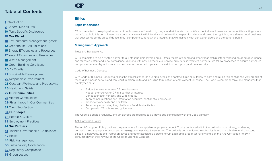#### <span id="page-42-0"></span>**[1](#page-1-0)** Introduction

**[2](#page-2-0)** General Disclosures

**[10](#page-10-0)** Topic Specific Disclosures

#### **[10](#page-10-0) Our Planet**

- **[10](#page-10-0)** Environmental Management System
- **[12](#page-12-0)** Greenhouse Gas Emissions
- **[15](#page-15-0)** Energy Efficiencies and Resources
- **[17](#page-17-0)** Water Efficiencies and Resources
- **[18](#page-18-0)** Waste Management
- **[19](#page-19-0)** Green Building Certification
- **[20](#page-20-0)** Air Quality
- **[21](#page-21-0)** Sustainable Development
- **[22](#page-22-0)** Responsible Procurement
- **[23](#page-23-0)** Occupant Wellness and Productivity
- **[25](#page-25-0)** Health and Safety

#### **[27](#page-27-0) Our Communities**

- **[27](#page-27-0)** Vibrant Communities
- **[29](#page-29-0)** Philanthropy in Our Communities
- **[31](#page-31-0)** Client Satisfaction

#### **[34](#page-34-0) Our People**

- **[34](#page-34-0)** People & Culture
- **[38](#page-38-0)** Employment Practices

#### **[41](#page-41-0) Our Partners**

- **[41](#page-41-0)** Finance Governance & Compliance
- **42** Ethics
- **[44](#page-44-0)** Risk Management
- **[50](#page-50-0)** Sustainability Governance
- **[52](#page-52-0)** Regulatory Compliance
- **[53](#page-53-0)** Green Leases

## CF

### **Ethics**

#### **Topic Importance**

CF is committed to keeping all aspects of our business in line with high legal and ethical standards. We expect all employees and other entities acting on our behalf to uphold this commitment. As a company, we act with integrity and believe that respect for others and doing the right thing are always good business. Our success depends on confidence in our competence, honesty and integrity that we maintain with our stakeholders and the general public.

#### **Management Approach**

#### Trust and Transparency

CF is committed to be a trusted partner to our stakeholders leveraging our track record of sound and steady leadership, integrity based on good governance, and strict regulatory and legal compliance. Working with new partners (e.g. service providers, investment partners), we follow processes to ensure our values and processes are aligned, as are our practices on important topics such as ethics, corruption, and data security.

#### Code of Business Conduct

CF's Code of Business Conduct outlines the ethical standards our employees and contract hires must follow to earn and retain this confidence. Any breach of these guidelines is serious and can result in action up to and including termination of employment for cause. The Code is comprehensive and mandates that employees must:

- Follow the laws wherever CF does business
- Not put themselves or CF in a conflict of interest
- Conduct oneself honestly and with integrity
- Keep communications and information accurate, confidential and secure
- Treat everyone fairly and equitably
- Report any accounting irregularities or fraudulent activities
- Comply with CF policies and guidelines

The Code is updated regularly, and employees are required to acknowledge compliance with the Code annually.

#### Anti-Corruption Policy

The Anti-Corruption Policy outlines the parameters for acceptable employee conduct. Topics contained within the policy include bribery, kickbacks, corruption and appropriate processes to manage and escalate these issues. The policy is communicated electronically and is applicable to all directors, officers, employees, agents, representatives and other associated persons of CF. Each employee must review and sign the Anti-Corruption Policy in conjunction with their review of the Code of Business Conduct.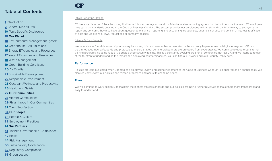#### Introduction

- General Disclosures
- Topic Specific Disclosures

#### **Our Planet**

- Environmental Management System
- Greenhouse Gas Emissions
- Energy Efficiencies and Resources
- Water Efficiencies and Resources
- Waste Management
- Green Building Certification
- Air Quality
- Sustainable Development
- Responsible Procurement
- Occupant Wellness and Productivity
- Health and Safety
- **Our Communities**
- Vibrant Communities
- Philanthropy in Our Communities
- Client Satisfaction
- **Our People**
- People & Culture
- Employment Practices

#### **Our Partners**

- Finance Governance & Compliance
- Ethics
- Risk Management
- Sustainability Governance
- Regulatory Compliance
- Green Leases

## CF

#### Ethics Reporting Hotline

CF has established an Ethics Reporting Hotline, which is an anonymous and confidential on-line reporting system that helps to ensure that each CF employee lives up to the standards outlined in the Code of Business Conduct. The system provides our employees with a safe and comfortable way to anonymously report any concerns they may have about questionable financial reporting and accounting irregularities, unethical conduct and conflict of interest, falsification of data and violations of laws, regulations or company policies.

#### Privacy & Data Security

We have always found data security to be very important, this has been further accelerated in the currently hyper-connected digital ecosystem. CF has thus introduced new safeguards and protocols to ensure that our commercial partners are protected from cyberattacks. We continue to update our internal training programs including regularly updated cybersecurity training. This is a constantly evolving area for all companies, not just CF, and we intend to remain at the forefront of understanding the threats and deploying countermeasures. You can find our Privacy and Data Security Policy here.

#### **Performance**

Policies are communicated when updated and employee review and acknowledgment of the Code of Business Conduct is monitored on an annual basis. We also regularly review our policies and related processes and adjust to changing needs.

#### **Plans**

We will continue to work diligently to maintain the highest ethical standards and our policies are being further reviewed to make them more transparent and easy to understand.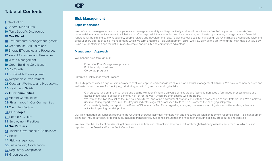#### <span id="page-44-0"></span>**[1](#page-1-0)** Introduction

**[2](#page-2-0)** General Disclosures

**[10](#page-10-0)** Topic Specific Disclosures

#### **[10](#page-10-0) Our Planet**

- **[10](#page-10-0)** Environmental Management System
- **[12](#page-12-0)** Greenhouse Gas Emissions
- **[15](#page-15-0)** Energy Efficiencies and Resources
- **[17](#page-17-0)** Water Efficiencies and Resources
- **[18](#page-18-0)** Waste Management
- **[19](#page-19-0)** Green Building Certification
- **[20](#page-20-0)** Air Quality
- **[21](#page-21-0)** Sustainable Development
- **[22](#page-22-0)** Responsible Procurement
- **[23](#page-23-0)** Occupant Wellness and Productivity
- **[25](#page-25-0)** Health and Safety
- **[27](#page-27-0) Our Communities**
- **[27](#page-27-0)** Vibrant Communities
- **[29](#page-29-0)** Philanthropy in Our Communities
- **[31](#page-31-0)** Client Satisfaction
- **[34](#page-34-0) Our People**
- **[34](#page-34-0)** People & Culture
- **[38](#page-38-0)** Employment Practices

#### **[41](#page-41-0) Our Partners**

- **[41](#page-41-0)** Finance Governance & Compliance
- **[42](#page-42-0)** Ethics
- **44** Risk Management
- **[50](#page-50-0)** Sustainability Governance
- **[52](#page-52-0)** Regulatory Compliance
- **[53](#page-53-0)** Green Leases

## CF

#### **Risk Management**

#### **Topic Importance**

We define risk management as our competency to manage uncertainty and to proactively address threats to minimize their impact on our assets. We believe risk management is central to all that we do. Our responsibilities are varied and include managing climate, operational, strategic, macro, financial, reputational, health and safety, regulatory, people-related and development risks. To achieve our goals for managing risk, CF maintains a comprehensive and precautionary approach to risk management, which we term Enterprise Risk Management (ERM). We view ERM as the ability to further maximize our value by using risk identification and mitigation plans to create opportunity and competitive advantage.

#### **Management Approach**

We manage risks through our:

- Enterprise Risk Management process
- Policies and procedures
- Corporate programs

#### Enterprise Risk Management Process

Our ERM process uses a rigorous framework to evaluate, capture and consolidate all our risks and risk management activities. We have a comprehensive and well-established process for identifying, prioritizing, monitoring and responding to risks.

- Our process runs on an annual cycle and begins with identifying the universe of risks we are facing. It then uses a formalized process to rate and assess these risks to establish a priority risk list for the year, which are then shared with the Board.
- We refresh the Top Risk list as the internal and external operating environment changes and with the progression of our Strategic Plan. We employ a risk monitoring report which monitors key risk indicators against established limits to help us assess the changing risk profile.
- On a quarterly basis, we report to the Board of Directors on Top Risks regarding changing risk levels, risk mitigation activities and organizational activities impacting our risk profile.

Our Risk Management function reports to the CFO and oversees activities, monitors risk and executes on risk management responsibilities. Risk management plans can include a variety of techniques, including transference, avoidance, insurance and mitigation through policies, procedures and controls.

We evaluate the results of our risk mitigation efforts via self-review, internal and external audit, or through third-party assessments, much of which is also reported to the Board and/or the Audit Committee.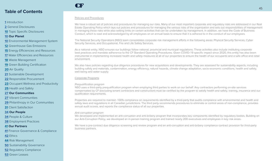#### **[1](#page-1-0)** Introduction

- **[2](#page-2-0)** General Disclosures
- **[10](#page-10-0)** Topic Specific Disclosures

#### **[10](#page-10-0) Our Planet**

- **[10](#page-10-0)** Environmental Management System
- **[12](#page-12-0)** Greenhouse Gas Emissions

**[15](#page-15-0)** Energy Efficiencies and Resources

**[17](#page-17-0)** Water Efficiencies and Resources

**[18](#page-18-0)** Waste Management

**[19](#page-19-0)** Green Building Certification

**[20](#page-20-0)** Air Quality

- **[21](#page-21-0)** Sustainable Development
- **[22](#page-22-0)** Responsible Procurement

**[23](#page-23-0)** Occupant Wellness and Productivity

**[25](#page-25-0)** Health and Safety

#### **[27](#page-27-0) Our Communities**

**[27](#page-27-0)** Vibrant Communities

**[29](#page-29-0)** Philanthropy in Our Communities

**[31](#page-31-0)** Client Satisfaction

#### **[34](#page-34-0) Our People**

**[34](#page-34-0)** People & Culture

**[38](#page-38-0)** Employment Practices

#### **[41](#page-41-0) Our Partners**

**[41](#page-41-0)** Finance Governance & Compliance

**[42](#page-42-0)** Ethics

**[44](#page-44-0)** Risk Management

**[50](#page-50-0)** Sustainability Governance

**[52](#page-52-0)** Regulatory Compliance

**[53](#page-53-0)** Green Leases

## Policies and Procedures

CF

We have a robust set of policies and procedures for managing our risks. Many of our most important corporate and regulatory risks are addressed in our Real Estate Operating Policy which lays out policies and procedures for managing the various risks of the organization and sets out responsibilities of management in managing these risks while also setting limits on certain activities that can be undertaken by management. In addition, we have the Code of Business Conduct, which is read and acknowledged by all employees on an annual basis to ensure that it is adhered to in the conduct of our employees.

The National Security Operations (NSO) team consolidates corporate risk management efforts in the following areas: Physical Security Services, Cyber Security Services, and Occupational, Fire and Life Safety Services.

As a national entity, NSO ensures our buildings follow national, provincial and municipal regulations. These activities also include instituting corporate best practices and mandate adherence to the CF Standard Operating Procedures. Given COVID-19 specific impact since 2020, this entity has also been instrumental in implementing increased health and safety measures at all of our properties to ensure the health of our occupants and a safe office and retail environment.

We also have policies regarding due diligence procedures for new acquisitions and developments. They are assessed for sustainability aspects, including building safety and materials, contamination, energy efficiency, natural hazards, climate change adaptation, socio-economic conditions, health and safety, well-being and water supply.

#### Corporate Programs

#### *Prequalification program*

NSO uses a third-party prequalification program when employing third parties to work on our behalf. Any contractors performing on-site services compensated by CF (excluding tenant contractors and construction) must be certified by the program to satisfy health and safety, training, insurance and our qualification requirements.

Properties are required to maintain 100% compliance on requirements identified by a third-party that audits compliance with environmental and health and safety laws and regulations in all Canadian jurisdictions. The third party recommends procedures to eliminate or control areas of non-compliance, provides annual audit scores, and reports the compliance status of all our properties.

#### *Anti-corruption program*

We developed and implemented an anti-corruption and anti-bribery program that incorporates key components identified by regulatory bodies. Building on our Anti-Corruption Policy, we developed an in-person training program and trained nearly 200 executives and employees in key risk areas.

We have a pre-contract due diligence screening and review program and an anti-corruption and anti-bribery compliance contract provision for third-party business partners.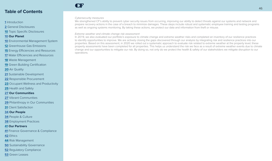#### Introduction

General Disclosures

Topic Specific Disclosures

#### **Our Planet**

- Environmental Management System
- Greenhouse Gas Emissions

Energy Efficiencies and Resources

Water Efficiencies and Resources

Waste Management

Green Building Certification

Air Quality

Sustainable Development

Responsible Procurement

Occupant Wellness and Productivity

Health and Safety

#### **Our Communities**

Vibrant Communities

Philanthropy in Our Communities

Client Satisfaction

#### **Our People**

People & Culture

Employment Practices

#### **Our Partners**

Finance Governance & Compliance

Ethics

Risk Management

Sustainability Governance

Regulatory Compliance

Green Leases

## **CF**

#### *Cybersecurity measures*

We strengthened CF's ability to prevent cyber security issues from occurring, improving our ability to detect threats against our systems and network and prepare recovery actions in the case of a breach to minimize damages. These steps include robust and systematic employee training and testing programs as well as ongoing systems monitoring. By taking these actions, we protect our data and information from theft or misuse.

*Extreme weather and climate change risk assessment*

In 2019, we also evaluated our portfolio's exposure to climate change and extreme weather risks and completed an inventory of our resilience practices to identify opportunities to improve. We are actively closing the gaps discovered through our analysis by integrating risk and resilience practices into our properties. Based on this assessment, in 2020 we rolled out a systematic approach to evaluate risk related to extreme weather at the property level; these property assessments have been completed for all properties. This helps us understand the risk we face as a result of extreme weather events due to climate change and our opportunities to mitigate our risk. By doing so, not only do we protect the health & safety of our stakeholders we mitigate disruption to our operations.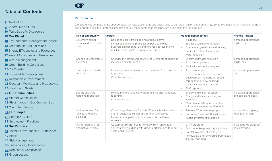- **[1](#page-1-0)** Introduction
- **[2](#page-2-0)** General Disclosures
- **[10](#page-10-0)** Topic Specific Disclosures

#### **[10](#page-10-0) Our Planet**

- **[10](#page-10-0)** Environmental Management System
- **[12](#page-12-0)** Greenhouse Gas Emissions
- **[15](#page-15-0)** Energy Efficiencies and Resources
- **[17](#page-17-0)** Water Efficiencies and Resources
- **[18](#page-18-0)** Waste Management
- **[19](#page-19-0)** Green Building Certification
- **[20](#page-20-0)** Air Quality
- **[21](#page-21-0)** Sustainable Development
- **[22](#page-22-0)** Responsible Procurement
- **[23](#page-23-0)** Occupant Wellness and Productivity
- **[25](#page-25-0)** Health and Safety
- **[27](#page-27-0) Our Communities**
- **[27](#page-27-0)** Vibrant Communities
- **[29](#page-29-0)** Philanthropy in Our Communities
- **[31](#page-31-0)** Client Satisfaction
- **[34](#page-34-0) Our People**
- **[34](#page-34-0)** People & Culture
- **[38](#page-38-0)** Employment Practices

#### **[41](#page-41-0) Our Partners**

- **[41](#page-41-0)** Finance Governance & Compliance
- **[42](#page-42-0)** Ethics
- **[44](#page-44-0)** Risk Management
- **[50](#page-50-0)** Sustainability Governance
- **[52](#page-52-0)** Regulatory Compliance
- **[53](#page-53-0)** Green Leases

## CF

#### **Performance**

We acknowledge that climate change poses physical, economic and social risks to our organization and community. Some examples of climate change risks and opportunities, their potential impacts and our management approaches are outlined in the table below.

| <b>Risk or opportunity</b>                                    | Impact                                                                                                                                                                                                          | <b>Management methods</b>                                                                                                                                             | <b>Financial impact</b>                      |
|---------------------------------------------------------------|-----------------------------------------------------------------------------------------------------------------------------------------------------------------------------------------------------------------|-----------------------------------------------------------------------------------------------------------------------------------------------------------------------|----------------------------------------------|
| <b>Extreme Weather</b><br>Events and Sea Level<br><b>Rise</b> | Damaged assets from flooding and ice storms<br>Increased snow and precipitation pose safety risk<br>business disruption for us and tenants (liability) and will<br>result in higher costs to operate our assets | Insurance<br><b>Business continuity strategies</b><br>Operational guidelines and training<br>Capital investment strategies<br>Water reduction                         | Increased operational/<br>capital cost       |
| Change in temperature<br>extremes                             | Changes in heating and cooling requirements of buildings<br>increasing cost for clients                                                                                                                         | Energy and waste reduction<br>Equipment upgrades<br>Capital investment strategies                                                                                     | Increased operational/<br>capital cost       |
| Carbon cap and trade<br>systems                               | New regulatory frameworks that may differ from province<br>to province<br>Compliance costs                                                                                                                      | Energy reduction<br>Energy reporting and assurance<br>Development methods to reduce<br>carbon load of new buildings<br>Capital investment strategies<br>GHG reporting | Increased operational<br>cost                |
| Energy and water<br>reporting regulation                      | Minimum energy and water performance and mandatory<br>reporting<br>Compliance costs                                                                                                                             | Energy and water reduction<br>Energy and water reporting and<br>assurance<br>Direct tenant billing to promote a<br>culture of awareness and reduction                 | Increased operational<br>and compliance cost |
| Market demand for<br>"climate protected<br>buildings"         | Customer preferences for high-efficiency buildings that<br>are not subject to disruptions from climate events<br>Increased competition for "climate protected" new<br>buildings                                 | Green at Work® (GAW) program<br>Corporate Responsibility initiatives<br>Capital investment strategies                                                                 | Increased occupancy<br>retention/net rent    |
| Market demand for<br>alternative energy                       | Customer preferences for energy from renewable<br>sources and buildings with green certifications to meet<br>sustainability goals                                                                               | GAW program<br>Corporate Responsibility initiatives<br>Capital investment strategies<br>Renewable energy credits purchases<br>& GHG reporting                         | Increased operational<br>costs/savings       |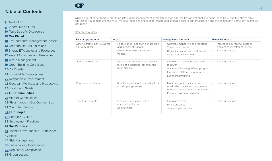#### **[1](#page-1-0)** Introduction

**[2](#page-2-0)** General Disclosures

**[10](#page-10-0)** Topic Specific Disclosures

#### **[10](#page-10-0) Our Planet**

**[10](#page-10-0)** Environmental Management System

**[12](#page-12-0)** Greenhouse Gas Emissions

**[15](#page-15-0)** Energy Efficiencies and Resources

**[17](#page-17-0)** Water Efficiencies and Resources

**[18](#page-18-0)** Waste Management

**[19](#page-19-0)** Green Building Certification

**[20](#page-20-0)** Air Quality

**[21](#page-21-0)** Sustainable Development

**[22](#page-22-0)** Responsible Procurement

**[23](#page-23-0)** Occupant Wellness and Productivity

**[25](#page-25-0)** Health and Safety

**[27](#page-27-0) Our Communities**

**[27](#page-27-0)** Vibrant Communities

**[29](#page-29-0)** Philanthropy in Our Communities

**[31](#page-31-0)** Client Satisfaction

**[34](#page-34-0) Our People**

**[34](#page-34-0)** People & Culture

**[38](#page-38-0)** Employment Practices

**[41](#page-41-0) Our Partners**

**[41](#page-41-0)** Finance Governance & Compliance

**[42](#page-42-0)** Ethics

**[44](#page-44-0)** Risk Management

**[50](#page-50-0)** Sustainability Governance

**[52](#page-52-0)** Regulatory Compliance

**[53](#page-53-0)** Green Leases

While some of our corporate programs listed in the management approach section address key operational and compliance risks, and the above table addresses key climate change risks, we also recognize and monitor macro and strategic risks to our organization and the community. Some key examples are below.

Other Macro Risks

CF

| <b>Risk or opportunity</b>                   | Impact                                                                                                                 | <b>Management methods</b>                                                                                                                       | <b>Financial impact</b>                                                          |
|----------------------------------------------|------------------------------------------------------------------------------------------------------------------------|-------------------------------------------------------------------------------------------------------------------------------------------------|----------------------------------------------------------------------------------|
| Other extreme market events<br>e.g. COVID-19 | Performance impact on our assets in<br>$\bullet$<br>and outside of Canada<br>Client performance success &<br>viability | Quarterly monitoring and reporting<br>Tenant risk reviews<br>Digital innovation and platforms to<br>support tenant success                      | Increased operational costs or<br>decreased investment returns<br>Revenue impact |
| Demographic shifts                           | Changing customer expectations in<br>$\bullet$<br>terms of experience, amenity mix,<br>retail mix, etc.                | Ongoing primary and secondary<br>research<br>Active retail leasing refresh program<br>Innovative platform development<br>Event programming      | Revenue impact                                                                   |
| Consumer Confidence                          | Retail appeal impact on retail sales in $\cdot$<br>our shopping centres                                                | Monitoring of consumer confidence,<br>retail sales, consumer debt, interest<br>rates and other economic indicators<br>Primary consumer research | Revenue impact                                                                   |
| Social movements                             | Employee, consumer, office<br>occupant wellness<br>Reputational                                                        | Ongoing training<br>Hiring practices<br>Strategic partnerships                                                                                  | Revenue impact                                                                   |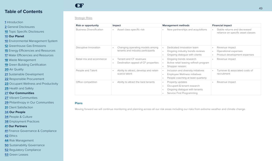#### **[1](#page-1-0)** Introduction

**[2](#page-2-0)** General Disclosures

**[10](#page-10-0)** Topic Specific Disclosures

#### **[10](#page-10-0) Our Planet**

**[10](#page-10-0)** Environmental Management System

**[12](#page-12-0)** Greenhouse Gas Emissions

**[15](#page-15-0)** Energy Efficiencies and Resources

**[17](#page-17-0)** Water Efficiencies and Resources

**[18](#page-18-0)** Waste Management

**[19](#page-19-0)** Green Building Certification

**[20](#page-20-0)** Air Quality

**[21](#page-21-0)** Sustainable Development

**[22](#page-22-0)** Responsible Procurement

**[23](#page-23-0)** Occupant Wellness and Productivity

**[25](#page-25-0)** Health and Safety

**[27](#page-27-0) Our Communities**

**[27](#page-27-0)** Vibrant Communities

**[29](#page-29-0)** Philanthropy in Our Communities

**[31](#page-31-0)** Client Satisfaction

**[34](#page-34-0) Our People**

**[34](#page-34-0)** People & Culture

**[38](#page-38-0)** Employment Practices

#### **[41](#page-41-0) Our Partners**

**[41](#page-41-0)** Finance Governance & Compliance

**[42](#page-42-0)** Ethics

**[44](#page-44-0)** Risk Management

**[50](#page-50-0)** Sustainability Governance

**[52](#page-52-0)** Regulatory Compliance

**[53](#page-53-0)** Green Leases

## CF

| <b>Strategic Risks</b> |  |
|------------------------|--|
|                        |  |

| <b>Risk or opportunity</b>      | Impact                                                                     | <b>Management methods</b>                                                                                                 | <b>Financial impact</b>                                                                          |
|---------------------------------|----------------------------------------------------------------------------|---------------------------------------------------------------------------------------------------------------------------|--------------------------------------------------------------------------------------------------|
| <b>Business Diversification</b> | Asset class specific risk                                                  | New partnerships and acquisitions                                                                                         | Stable returns and decreased<br>reliance on specific asset classes                               |
| Disruptive Innovation           | Changing operating models among<br>tenants and industry participants       | Dedicated innovation team<br>Ongoing industry trends reviews<br>Ongoing dialogue with clients                             | Revenue impact<br>Operational expenses<br>$\bullet$<br>Product development expenses<br>$\bullet$ |
| Retail mix and ecommerce        | Tenant and CF revenues<br>$\bullet$<br>Destination appeal of CF properties | Ongoing trends research<br>Active retail leasing refresh program<br>Shopper researc                                       | Revenue impact<br>$\bullet$                                                                      |
| People and Talent               | Ability to attract, develop and retain<br>$\bullet$<br>scarce talent       | Inclusion and diversity initiatives<br>Employee Wellness initiatives<br>People coaching at least quarterly                | Turnover & associated costs of<br>recruitment                                                    |
| Office competition              | Ability to attract the best tenants<br>$\bullet$                           | Property updates<br>$\bullet$<br>Occupant & tenant research<br>Ongoing dialogue with tenants<br>Service First Programming | Revenue impact                                                                                   |

#### **Plans**

Moving forward we will continue monitoring and planning across all our risk areas including our risks from extreme weather and climate change.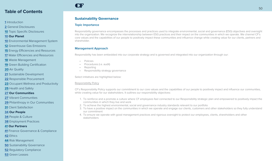#### <span id="page-50-0"></span>**[1](#page-1-0)** Introduction

**[2](#page-2-0)** General Disclosures

**[10](#page-10-0)** Topic Specific Disclosures

#### **[10](#page-10-0) Our Planet**

- **[10](#page-10-0)** Environmental Management System
- **[12](#page-12-0)** Greenhouse Gas Emissions
- **[15](#page-15-0)** Energy Efficiencies and Resources
- **[17](#page-17-0)** Water Efficiencies and Resources
- **[18](#page-18-0)** Waste Management
- **[19](#page-19-0)** Green Building Certification
- **[20](#page-20-0)** Air Quality
- **[21](#page-21-0)** Sustainable Development
- **[22](#page-22-0)** Responsible Procurement
- **[23](#page-23-0)** Occupant Wellness and Productivity
- **[25](#page-25-0)** Health and Safety
- **[27](#page-27-0) Our Communities**
- **[27](#page-27-0)** Vibrant Communities
- **[29](#page-29-0)** Philanthropy in Our Communities
- **[31](#page-31-0)** Client Satisfaction
- **[34](#page-34-0) Our People**
- **[34](#page-34-0)** People & Culture
- **[38](#page-38-0)** Employment Practices

#### **[41](#page-41-0) Our Partners**

- **[41](#page-41-0)** Finance Governance & Compliance
- **[42](#page-42-0)** Ethics
- **[44](#page-44-0)** Risk Management
- **50** Sustainability Governance
- **[52](#page-52-0)** Regulatory Compliance
- **[53](#page-53-0)** Green Leases

#### **Sustainability Governance**

#### **Topic Importance**

CF

Responsibility governance encompasses the processes and practices used to integrate environmental, social and governance (ESG) objectives and oversight into the organization. We recognize the interrelationship between ESG practices and their impact on the communities in which we operate. We channel CF's core values and the capabilities of our people to positively impact these communities and influence change while creating value for our clients, partners and shareholder.

#### **Management Approach**

Responsibility has been embedded into our corporate strategy and is governed and integrated into our organization through our:

- Policies
- Procedures (i.e. audit)
- Reporting
- Responsibility strategy governance

Select initiatives are highlighted below:

#### Responsibility Policy

CF's Responsibility Policy supports our commitment to our core values and the capabilities of our people to positively impact and influence our communities, while creating value for our stakeholders. It outlines our responsibility objectives:

- 1. To reinforce and a promote a culture where CF employees feel connected to our Responsibility strategic plan and empowered to positively impact the communities in which they live and work
- 2. To achieve the highest environmental, social and governance industry standards relevant to our portfolio
- 3. To have a positive impact on the communities in which we operate and engage our clients, customers and other stakeholders so they fully understand our commitment
- 4. To ensure we operate with good management practices and rigorous oversight to protect our employees, clients, shareholders and other stakeholders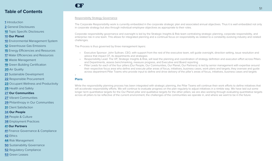#### **[1](#page-1-0)** Introduction

**[2](#page-2-0)** General Disclosures

**[10](#page-10-0)** Topic Specific Disclosures

#### **[10](#page-10-0) Our Planet**

- **[10](#page-10-0)** Environmental Management System
- **[12](#page-12-0)** Greenhouse Gas Emissions
- **[15](#page-15-0)** Energy Efficiencies and Resources
- **[17](#page-17-0)** Water Efficiencies and Resources
- **[18](#page-18-0)** Waste Management
- **[19](#page-19-0)** Green Building Certification
- **[20](#page-20-0)** Air Quality
- **[21](#page-21-0)** Sustainable Development
- **[22](#page-22-0)** Responsible Procurement
- **[23](#page-23-0)** Occupant Wellness and Productivity
- **[25](#page-25-0)** Health and Safety
- **[27](#page-27-0) Our Communities**
- **[27](#page-27-0)** Vibrant Communities
- **[29](#page-29-0)** Philanthropy in Our Communities
- **[31](#page-31-0)** Client Satisfaction

#### **[34](#page-34-0) Our People**

- **[34](#page-34-0)** People & Culture
- **[38](#page-38-0)** Employment Practices

#### **[41](#page-41-0) Our Partners**

- **[41](#page-41-0)** Finance Governance & Compliance
- **[42](#page-42-0)** Ethics
- **[44](#page-44-0)** Risk Management
- **[50](#page-50-0)** Sustainability Governance
- **[52](#page-52-0)** Regulatory Compliance
- **[53](#page-53-0)** Green Leases

#### Responsibility Strategy Governance

The Corporate Responsibility work is currently embedded in the corporate strategic plan and associated annual objectives. Thus it is well embedded not only in corporate strategy but also through individual employee objectives as appropriate to their roles.

Corporate responsibility governance and oversight is led by the Strategic Insights & Risk team centralizing strategic planning, corporate responsibility, and enterprise risk in one team. This allows for integrated planning and a continual focus on responsibility as related to a constantly evolving industry and related challenges.

The Process is thus governed by three management layers:

- Executive Sponsor: John Sullivan, CEO, with support from the rest of the executive team, will guide oversight, direction setting, issue resolution and advice that impact CF, its departments and strategies
- Responsibility Lead: The VP, Strategic Insights & Risk, will lead the planning and coordination of strategy definition and execution effort across Pillars and Departments, assess benchmarking, measure progress, and Executive and Board reporting
- Pillar Leads for each of the four pillars (Our People, Our Communities, Our Planet, Our Partners): is led by senior management with expertise around their respective focus area who define and execute pillar areas of focus, initiatives, business cases, work plans and targets; they oversee and guide across department Pillar Teams who provide input to define and drive delivery of the pillar's areas of focus, initiatives, business cases and targets

#### **Plans**

CF

•

While the responsibility planning process has been integrated with strategic planning, the Pillar Teams will continue their work efforts to define initiatives that will accelerate responsibility efforts. We will continue to evaluate progress on the plan regularly to adjust initiatives in a nimble way. We have laid out some longer term quantitative targets for the Our Planet pillar and qualitative targets for the other pillars; we are also working through evaluating quantitative targets across all pillars to be reflective of the current environment, the challenges of the communities we operate in, and where we want to be in the future.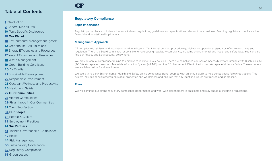- <span id="page-52-0"></span>Introduction
- General Disclosures
- Topic Specific Disclosures
- **Our Planet**
- Environmental Management System
- Greenhouse Gas Emissions
- Energy Efficiencies and Resources
- Water Efficiencies and Resources
- Waste Management
- Green Building Certification
- Air Quality
- Sustainable Development
- Responsible Procurement
- Occupant Wellness and Productivity
- Health and Safety
- **Our Communities**
- Vibrant Communities
- Philanthropy in Our Communities
- Client Satisfaction
- **Our People**
- People & Culture
- Employment Practices

#### **Our Partners**

- Finance Governance & Compliance
- Ethics
- Risk Management
- Sustainability Governance
- Regulatory Compliance
- Green Leases

## CF

### **Regulatory Compliance**

#### **Topic Importance**

Regulatory compliance includes adherence to laws, regulations, guidelines and specifications relevant to our business. Ensuring regulatory compliance has financial and reputational implications.

#### **Management Approach**

CF complies with all laws and regulations in all jurisdictions. Our internal policies, procedure guidelines or operational standards often exceed laws and regulation. There is a Board committee responsible for overseeing regulatory compliance, including environmental and health and safety laws. You can also find our Privacy and Data Security policy here.

We provide annual compliance training to employees relating to key policies. There are compliance courses on Accessibility for Ontarians with Disabilities Act (AODA), Workplace Hazardous Materials Information System (WHMIS) and the CF Harassment, Discrimination and Workplace Violence Policy. These courses are available online for all employees.

We use a third-party Environmental, Health and Safety online compliance portal coupled with an annual audit to help our business follow regulations. This system includes annual assessments of all properties and workplaces and ensures that any identified issues are tracked and addressed.

#### **Plans**

We will continue our strong regulatory compliance performance and work with stakeholders to anticipate and stay ahead of incoming regulations.